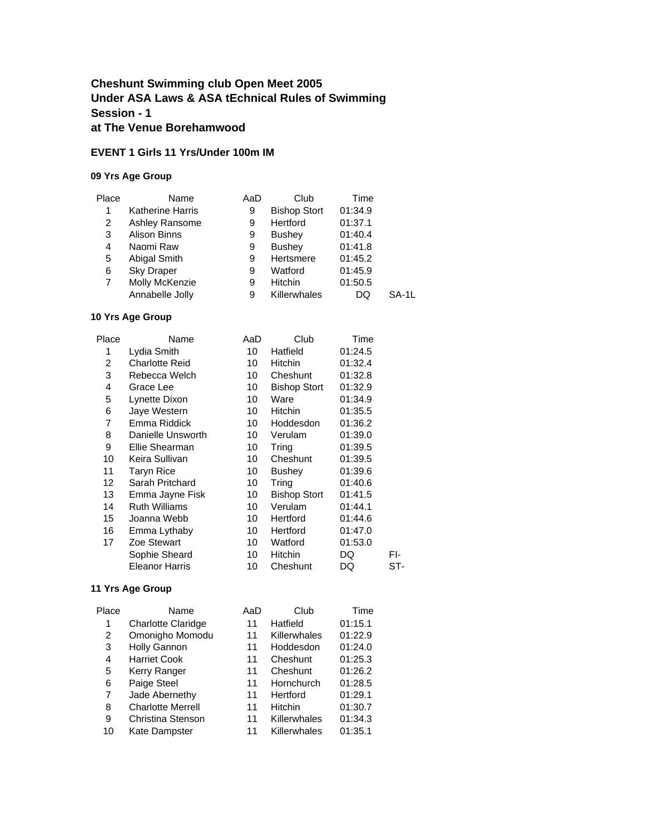## **Cheshunt Swimming club Open Meet 2005 Under ASA Laws & ASA tEchnical Rules of Swimming Session - 1 at The Venue Borehamwood**

#### **EVENT 1 Girls 11 Yrs/Under 100m IM**

#### **09 Yrs Age Group**

| Place | Name                    | AaD | Club                | Time    |       |
|-------|-------------------------|-----|---------------------|---------|-------|
| 1     | <b>Katherine Harris</b> | 9   | <b>Bishop Stort</b> | 01:34.9 |       |
| 2     | Ashley Ransome          | 9   | Hertford            | 01:37.1 |       |
| 3     | <b>Alison Binns</b>     | 9   | <b>Bushey</b>       | 01:40.4 |       |
| 4     | Naomi Raw               | 9   | <b>Bushey</b>       | 01:41.8 |       |
| 5     | Abigal Smith            | 9   | Hertsmere           | 01:45.2 |       |
| 6     | <b>Sky Draper</b>       | 9   | Watford             | 01:45.9 |       |
| 7     | Molly McKenzie          | 9   | <b>Hitchin</b>      | 01:50.5 |       |
|       | Annabelle Jolly         | 9   | Killerwhales        | DQ      | SA-1L |
|       |                         |     |                     |         |       |

#### **10 Yrs Age Group**

| Place           | Name                  | AaD | Club                | Time    |     |
|-----------------|-----------------------|-----|---------------------|---------|-----|
| 1               | Lydia Smith           | 10  | Hatfield            | 01:24.5 |     |
| 2               | <b>Charlotte Reid</b> | 10  | <b>Hitchin</b>      | 01:32.4 |     |
| 3               | Rebecca Welch         | 10  | Cheshunt            | 01:32.8 |     |
| 4               | Grace Lee             | 10  | <b>Bishop Stort</b> | 01:32.9 |     |
| 5               | Lynette Dixon         | 10  | Ware                | 01:34.9 |     |
| 6               | Jaye Western          | 10  | Hitchin             | 01:35.5 |     |
| 7               | Emma Riddick          | 10  | Hoddesdon           | 01:36.2 |     |
| 8               | Danielle Unsworth     | 10  | Verulam             | 01:39.0 |     |
| 9               | Ellie Shearman        | 10  | Tring               | 01:39.5 |     |
| 10              | Keira Sullivan        | 10  | Cheshunt            | 01:39.5 |     |
| 11              | <b>Taryn Rice</b>     | 10  | <b>Bushey</b>       | 01:39.6 |     |
| 12 <sup>2</sup> | Sarah Pritchard       | 10  | Tring               | 01:40.6 |     |
| 13              | Emma Jayne Fisk       | 10  | <b>Bishop Stort</b> | 01:41.5 |     |
| 14              | <b>Ruth Williams</b>  | 10  | Verulam             | 01:44.1 |     |
| 15              | Joanna Webb           | 10  | Hertford            | 01:44.6 |     |
| 16              | Emma Lythaby          | 10  | Hertford            | 01:47.0 |     |
| 17              | Zoe Stewart           | 10  | Watford             | 01:53.0 |     |
|                 | Sophie Sheard         | 10  | Hitchin             | DQ      | FI- |
|                 | Eleanor Harris        | 10  | Cheshunt            | DQ      | ST- |

| Place | Name                     | AaD | Club           | Time    |
|-------|--------------------------|-----|----------------|---------|
| 1     | Charlotte Claridge       | 11  | Hatfield       | 01:15.1 |
| 2     | Omonigho Momodu          | 11  | Killerwhales   | 01:22.9 |
| 3     | <b>Holly Gannon</b>      | 11  | Hoddesdon      | 01:24.0 |
| 4     | <b>Harriet Cook</b>      | 11  | Cheshunt       | 01:25.3 |
| 5     | Kerry Ranger             | 11  | Cheshunt       | 01:26.2 |
| 6     | Paige Steel              | 11  | Hornchurch     | 01:28.5 |
| 7     | Jade Abernethy           | 11  | Hertford       | 01:29.1 |
| 8     | <b>Charlotte Merrell</b> | 11  | <b>Hitchin</b> | 01:30.7 |
| 9     | Christina Stenson        | 11  | Killerwhales   | 01:34.3 |
| 10    | Kate Dampster            | 11  | Killerwhales   | 01:35.1 |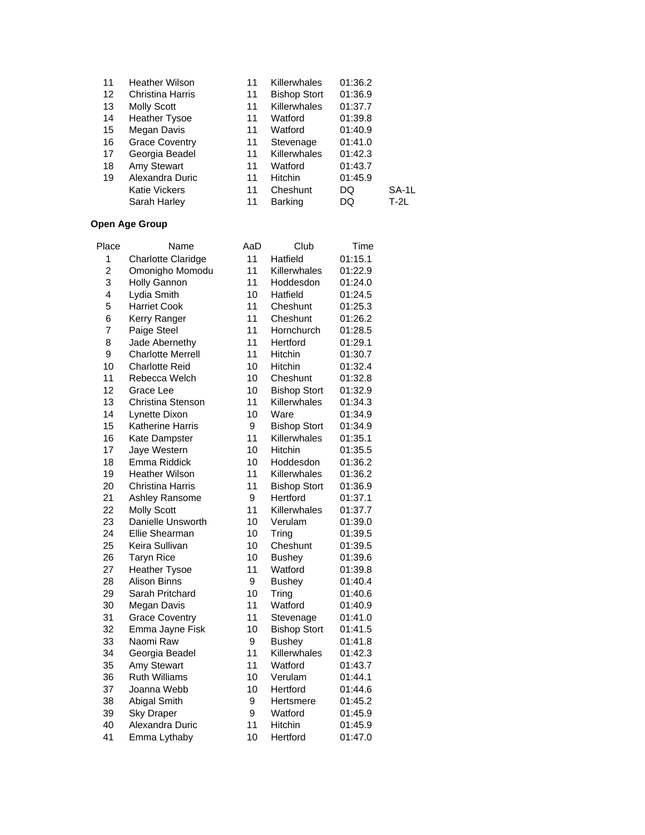| 11 | Heather Wilson          | 11 | Killerwhales        | 01:36.2 |        |
|----|-------------------------|----|---------------------|---------|--------|
| 12 | <b>Christina Harris</b> | 11 | <b>Bishop Stort</b> | 01:36.9 |        |
| 13 | <b>Molly Scott</b>      | 11 | Killerwhales        | 01:37.7 |        |
| 14 | <b>Heather Tysoe</b>    | 11 | Watford             | 01:39.8 |        |
| 15 | Megan Davis             | 11 | Watford             | 01:40.9 |        |
| 16 | <b>Grace Coventry</b>   | 11 | Stevenage           | 01:41.0 |        |
| 17 | Georgia Beadel          | 11 | Killerwhales        | 01:42.3 |        |
| 18 | Amy Stewart             | 11 | Watford             | 01:43.7 |        |
| 19 | Alexandra Duric         | 11 | <b>Hitchin</b>      | 01:45.9 |        |
|    | <b>Katie Vickers</b>    | 11 | Cheshunt            | DQ      | SA-1L  |
|    | Sarah Harley            | 11 | <b>Barking</b>      | DQ      | $T-2L$ |
|    |                         |    |                     |         |        |

| Name                     | AaD                                                                                                                                                                                                                                                                                                                                                                                                                                 | Club                                                                                                                              | Time                                                                                                                                                                                                                                                                                                   |
|--------------------------|-------------------------------------------------------------------------------------------------------------------------------------------------------------------------------------------------------------------------------------------------------------------------------------------------------------------------------------------------------------------------------------------------------------------------------------|-----------------------------------------------------------------------------------------------------------------------------------|--------------------------------------------------------------------------------------------------------------------------------------------------------------------------------------------------------------------------------------------------------------------------------------------------------|
| Charlotte Claridge       | 11                                                                                                                                                                                                                                                                                                                                                                                                                                  | Hatfield                                                                                                                          | 01:15.1                                                                                                                                                                                                                                                                                                |
| Omonigho Momodu          | 11                                                                                                                                                                                                                                                                                                                                                                                                                                  | Killerwhales                                                                                                                      | 01:22.9                                                                                                                                                                                                                                                                                                |
| <b>Holly Gannon</b>      | 11                                                                                                                                                                                                                                                                                                                                                                                                                                  | Hoddesdon                                                                                                                         | 01:24.0                                                                                                                                                                                                                                                                                                |
| Lydia Smith              | 10                                                                                                                                                                                                                                                                                                                                                                                                                                  | Hatfield                                                                                                                          | 01:24.5                                                                                                                                                                                                                                                                                                |
| <b>Harriet Cook</b>      | 11                                                                                                                                                                                                                                                                                                                                                                                                                                  | Cheshunt                                                                                                                          | 01:25.3                                                                                                                                                                                                                                                                                                |
| Kerry Ranger             | 11                                                                                                                                                                                                                                                                                                                                                                                                                                  | Cheshunt                                                                                                                          | 01:26.2                                                                                                                                                                                                                                                                                                |
| Paige Steel              | 11                                                                                                                                                                                                                                                                                                                                                                                                                                  | Hornchurch                                                                                                                        | 01:28.5                                                                                                                                                                                                                                                                                                |
| Jade Abernethy           | 11                                                                                                                                                                                                                                                                                                                                                                                                                                  | Hertford                                                                                                                          | 01:29.1                                                                                                                                                                                                                                                                                                |
| <b>Charlotte Merrell</b> | 11                                                                                                                                                                                                                                                                                                                                                                                                                                  | Hitchin                                                                                                                           | 01:30.7                                                                                                                                                                                                                                                                                                |
| <b>Charlotte Reid</b>    | 10                                                                                                                                                                                                                                                                                                                                                                                                                                  | Hitchin                                                                                                                           | 01:32.4                                                                                                                                                                                                                                                                                                |
| Rebecca Welch            | 10                                                                                                                                                                                                                                                                                                                                                                                                                                  | Cheshunt                                                                                                                          | 01:32.8                                                                                                                                                                                                                                                                                                |
| Grace Lee                | 10                                                                                                                                                                                                                                                                                                                                                                                                                                  | <b>Bishop Stort</b>                                                                                                               | 01:32.9                                                                                                                                                                                                                                                                                                |
| Christina Stenson        |                                                                                                                                                                                                                                                                                                                                                                                                                                     |                                                                                                                                   | 01:34.3                                                                                                                                                                                                                                                                                                |
| Lynette Dixon            | 10                                                                                                                                                                                                                                                                                                                                                                                                                                  | Ware                                                                                                                              | 01:34.9                                                                                                                                                                                                                                                                                                |
| <b>Katherine Harris</b>  | 9                                                                                                                                                                                                                                                                                                                                                                                                                                   | <b>Bishop Stort</b>                                                                                                               | 01:34.9                                                                                                                                                                                                                                                                                                |
| Kate Dampster            | 11                                                                                                                                                                                                                                                                                                                                                                                                                                  | Killerwhales                                                                                                                      | 01:35.1                                                                                                                                                                                                                                                                                                |
| Jaye Western             |                                                                                                                                                                                                                                                                                                                                                                                                                                     | Hitchin                                                                                                                           | 01:35.5                                                                                                                                                                                                                                                                                                |
|                          | 10                                                                                                                                                                                                                                                                                                                                                                                                                                  | Hoddesdon                                                                                                                         | 01:36.2                                                                                                                                                                                                                                                                                                |
| <b>Heather Wilson</b>    | 11                                                                                                                                                                                                                                                                                                                                                                                                                                  | Killerwhales                                                                                                                      | 01:36.2                                                                                                                                                                                                                                                                                                |
| <b>Christina Harris</b>  |                                                                                                                                                                                                                                                                                                                                                                                                                                     |                                                                                                                                   | 01:36.9                                                                                                                                                                                                                                                                                                |
|                          |                                                                                                                                                                                                                                                                                                                                                                                                                                     |                                                                                                                                   | 01:37.1                                                                                                                                                                                                                                                                                                |
|                          |                                                                                                                                                                                                                                                                                                                                                                                                                                     | Killerwhales                                                                                                                      | 01:37.7                                                                                                                                                                                                                                                                                                |
|                          |                                                                                                                                                                                                                                                                                                                                                                                                                                     |                                                                                                                                   | 01:39.0                                                                                                                                                                                                                                                                                                |
|                          | 10                                                                                                                                                                                                                                                                                                                                                                                                                                  |                                                                                                                                   | 01:39.5                                                                                                                                                                                                                                                                                                |
|                          |                                                                                                                                                                                                                                                                                                                                                                                                                                     |                                                                                                                                   | 01:39.5                                                                                                                                                                                                                                                                                                |
|                          |                                                                                                                                                                                                                                                                                                                                                                                                                                     |                                                                                                                                   | 01:39.6                                                                                                                                                                                                                                                                                                |
|                          |                                                                                                                                                                                                                                                                                                                                                                                                                                     |                                                                                                                                   | 01:39.8                                                                                                                                                                                                                                                                                                |
|                          |                                                                                                                                                                                                                                                                                                                                                                                                                                     |                                                                                                                                   | 01:40.4                                                                                                                                                                                                                                                                                                |
|                          |                                                                                                                                                                                                                                                                                                                                                                                                                                     |                                                                                                                                   | 01:40.6                                                                                                                                                                                                                                                                                                |
|                          |                                                                                                                                                                                                                                                                                                                                                                                                                                     |                                                                                                                                   | 01:40.9                                                                                                                                                                                                                                                                                                |
|                          |                                                                                                                                                                                                                                                                                                                                                                                                                                     |                                                                                                                                   | 01:41.0                                                                                                                                                                                                                                                                                                |
|                          |                                                                                                                                                                                                                                                                                                                                                                                                                                     |                                                                                                                                   | 01:41.5                                                                                                                                                                                                                                                                                                |
|                          |                                                                                                                                                                                                                                                                                                                                                                                                                                     |                                                                                                                                   | 01:41.8                                                                                                                                                                                                                                                                                                |
|                          |                                                                                                                                                                                                                                                                                                                                                                                                                                     |                                                                                                                                   | 01:42.3                                                                                                                                                                                                                                                                                                |
|                          |                                                                                                                                                                                                                                                                                                                                                                                                                                     |                                                                                                                                   | 01:43.7                                                                                                                                                                                                                                                                                                |
|                          |                                                                                                                                                                                                                                                                                                                                                                                                                                     |                                                                                                                                   | 01:44.1                                                                                                                                                                                                                                                                                                |
|                          |                                                                                                                                                                                                                                                                                                                                                                                                                                     |                                                                                                                                   | 01:44.6                                                                                                                                                                                                                                                                                                |
|                          |                                                                                                                                                                                                                                                                                                                                                                                                                                     |                                                                                                                                   | 01:45.2                                                                                                                                                                                                                                                                                                |
|                          |                                                                                                                                                                                                                                                                                                                                                                                                                                     |                                                                                                                                   | 01:45.9                                                                                                                                                                                                                                                                                                |
|                          |                                                                                                                                                                                                                                                                                                                                                                                                                                     |                                                                                                                                   | 01:45.9                                                                                                                                                                                                                                                                                                |
|                          |                                                                                                                                                                                                                                                                                                                                                                                                                                     |                                                                                                                                   | 01:47.0                                                                                                                                                                                                                                                                                                |
|                          | Emma Riddick<br>Ashley Ransome<br><b>Molly Scott</b><br>Danielle Unsworth<br>Ellie Shearman<br>Keira Sullivan<br><b>Taryn Rice</b><br><b>Heather Tysoe</b><br><b>Alison Binns</b><br>Sarah Pritchard<br>Megan Davis<br><b>Grace Coventry</b><br>Emma Jayne Fisk<br>Naomi Raw<br>Georgia Beadel<br>Amy Stewart<br><b>Ruth Williams</b><br>Joanna Webb<br><b>Abigal Smith</b><br><b>Sky Draper</b><br>Alexandra Duric<br>Emma Lythaby | 11<br>10<br>11<br>9<br>11<br>10<br>10<br>10<br>11<br>9<br>10<br>11<br>11<br>10<br>9<br>11<br>11<br>10<br>10<br>9<br>9<br>11<br>10 | Killerwhales<br><b>Bishop Stort</b><br>Hertford<br>Verulam<br>Tring<br>Cheshunt<br><b>Bushey</b><br>Watford<br><b>Bushey</b><br>Tring<br>Watford<br>Stevenage<br><b>Bishop Stort</b><br><b>Bushey</b><br>Killerwhales<br>Watford<br>Verulam<br>Hertford<br>Hertsmere<br>Watford<br>Hitchin<br>Hertford |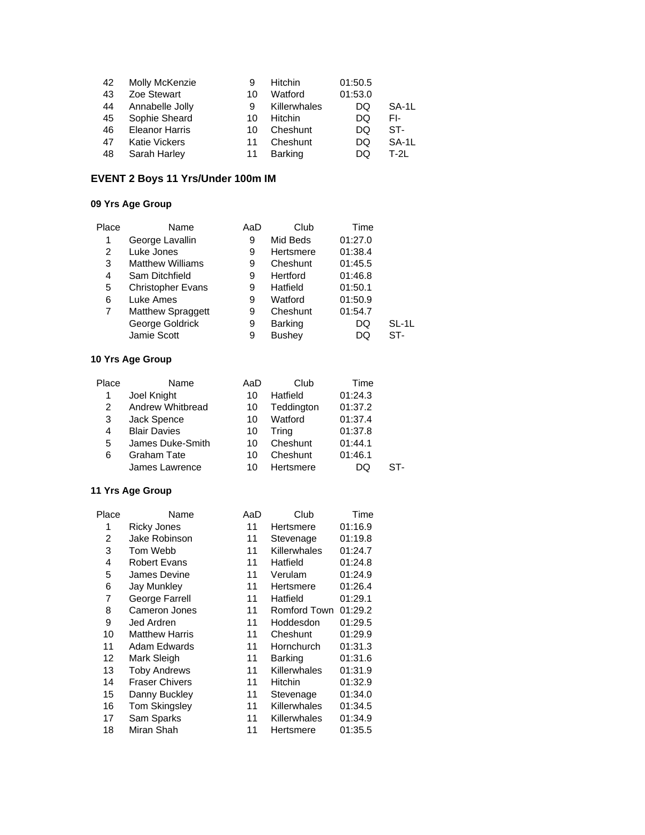| 42 | Molly McKenzie        | 9  | <b>Hitchin</b> | 01:50.5 |       |
|----|-----------------------|----|----------------|---------|-------|
| 43 | Zoe Stewart           | 10 | Watford        | 01:53.0 |       |
| 44 | Annabelle Jolly       | 9  | Killerwhales   | DQ      | SA-1L |
| 45 | Sophie Sheard         | 10 | Hitchin        | DQ      | FI-   |
| 46 | <b>Eleanor Harris</b> | 10 | Cheshunt       | DQ      | ST-   |
| 47 | <b>Katie Vickers</b>  | 11 | Cheshunt       | DQ      | SA-1L |
| 48 | Sarah Harley          | 11 | <b>Barking</b> | DQ      | T-2L  |

# **EVENT 2 Boys 11 Yrs/Under 100m IM**

#### **09 Yrs Age Group**

| Place | Name                     | AaD | Club           | Time    |       |
|-------|--------------------------|-----|----------------|---------|-------|
| 1     | George Lavallin          | 9   | Mid Beds       | 01:27.0 |       |
| 2     | Luke Jones               | 9   | Hertsmere      | 01:38.4 |       |
| 3     | <b>Matthew Williams</b>  | 9   | Cheshunt       | 01:45.5 |       |
| 4     | Sam Ditchfield           | 9   | Hertford       | 01:46.8 |       |
| 5     | <b>Christopher Evans</b> | 9   | Hatfield       | 01:50.1 |       |
| 6     | Luke Ames                | 9   | Watford        | 01:50.9 |       |
| 7     | Matthew Spraggett        | 9   | Cheshunt       | 01:54.7 |       |
|       | George Goldrick          | 9   | <b>Barking</b> | DQ      | SL-1L |
|       | Jamie Scott              | 9   | <b>Bushey</b>  | DQ      | ST-   |

## **10 Yrs Age Group**

| Place | Name                | AaD | Club       | Time    |     |
|-------|---------------------|-----|------------|---------|-----|
| 1     | Joel Knight         | 10  | Hatfield   | 01:24.3 |     |
| 2     | Andrew Whitbread    | 10  | Teddington | 01:37.2 |     |
| 3     | Jack Spence         | 10  | Watford    | 01:37.4 |     |
| 4     | <b>Blair Davies</b> | 10  | Tring      | 01:37.8 |     |
| 5     | James Duke-Smith    | 10  | Cheshunt   | 01:44.1 |     |
| 6     | <b>Graham Tate</b>  | 10  | Cheshunt   | 01:46.1 |     |
|       | James Lawrence      | 10  | Hertsmere  | DO.     | ST- |

| Place | Name                  | AaD | Club           | Time    |
|-------|-----------------------|-----|----------------|---------|
| 1     | Ricky Jones           | 11  | Hertsmere      | 01:16.9 |
| 2     | Jake Robinson         | 11  | Stevenage      | 01:19.8 |
| 3     | Tom Webb              | 11  | Killerwhales   | 01:24.7 |
| 4     | <b>Robert Evans</b>   | 11  | Hatfield       | 01:24.8 |
| 5     | James Devine          | 11  | Verulam        | 01:24.9 |
| 6     | Jay Munkley           | 11  | Hertsmere      | 01:26.4 |
| 7     | George Farrell        | 11  | Hatfield       | 01:29.1 |
| 8     | Cameron Jones         | 11  | Romford Town   | 01:29.2 |
| 9     | Jed Ardren            | 11  | Hoddesdon      | 01:29.5 |
| 10    | <b>Matthew Harris</b> | 11  | Cheshunt       | 01:29.9 |
| 11    | Adam Edwards          | 11  | Hornchurch     | 01:31.3 |
| 12    | Mark Sleigh           | 11  | <b>Barking</b> | 01:31.6 |
| 13    | <b>Toby Andrews</b>   | 11  | Killerwhales   | 01:31.9 |
| 14    | <b>Fraser Chivers</b> | 11  | <b>Hitchin</b> | 01:32.9 |
| 15    | Danny Buckley         | 11  | Stevenage      | 01:34.0 |
| 16    | Tom Skingsley         | 11  | Killerwhales   | 01:34.5 |
| 17    | Sam Sparks            | 11  | Killerwhales   | 01:34.9 |
| 18    | Miran Shah            | 11  | Hertsmere      | 01:35.5 |
|       |                       |     |                |         |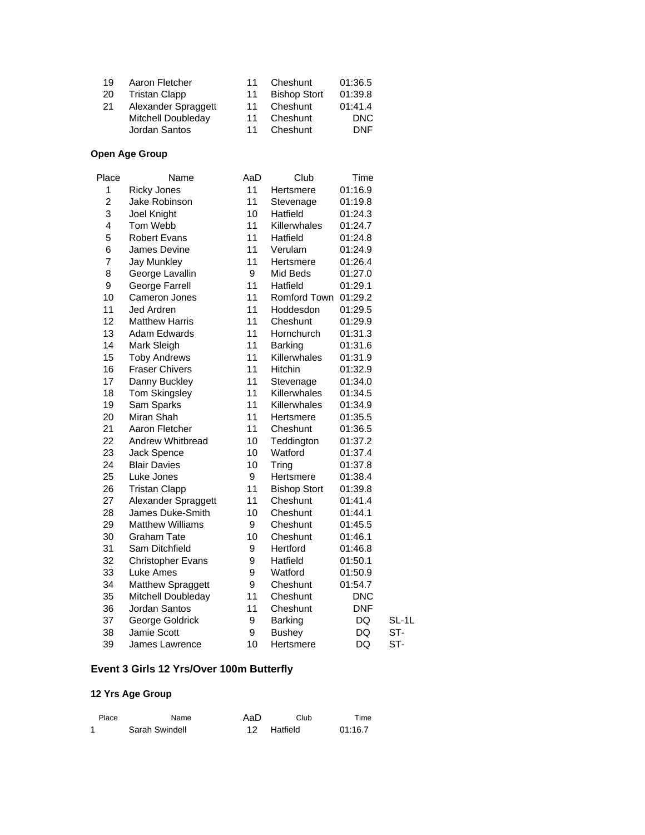| 19 | Aaron Fletcher            | 11 | Cheshunt            | 01:36.5    |
|----|---------------------------|----|---------------------|------------|
| 20 | <b>Tristan Clapp</b>      | 11 | <b>Bishop Stort</b> | 01:39.8    |
| 21 | Alexander Spraggett       | 11 | Cheshunt            | 01:41.4    |
|    | <b>Mitchell Doubleday</b> | 11 | Cheshunt            | DNC        |
|    | Jordan Santos             | 11 | Cheshunt            | <b>DNF</b> |

# **Open Age Group**

| Place          | Name                     | AaD | Club                | Time       |       |
|----------------|--------------------------|-----|---------------------|------------|-------|
| 1              | <b>Ricky Jones</b>       | 11  | Hertsmere           | 01:16.9    |       |
| $\overline{c}$ | Jake Robinson            | 11  | Stevenage           | 01:19.8    |       |
| 3              | Joel Knight              | 10  | Hatfield            | 01:24.3    |       |
| 4              | Tom Webb                 | 11  | Killerwhales        | 01:24.7    |       |
| 5              | <b>Robert Evans</b>      | 11  | Hatfield            | 01:24.8    |       |
| 6              | James Devine             | 11  | Verulam             | 01:24.9    |       |
| 7              | <b>Jay Munkley</b>       | 11  | Hertsmere           | 01:26.4    |       |
| 8              | George Lavallin          | 9   | Mid Beds            | 01:27.0    |       |
| 9              | George Farrell           | 11  | Hatfield            | 01:29.1    |       |
| 10             | Cameron Jones            | 11  | Romford Town        | 01:29.2    |       |
| 11             | Jed Ardren               | 11  | Hoddesdon           | 01:29.5    |       |
| 12             | <b>Matthew Harris</b>    | 11  | Cheshunt            | 01:29.9    |       |
| 13             | Adam Edwards             | 11  | Hornchurch          | 01:31.3    |       |
| 14             | Mark Sleigh              | 11  | Barking             | 01:31.6    |       |
| 15             | <b>Toby Andrews</b>      | 11  | Killerwhales        | 01:31.9    |       |
| 16             | <b>Fraser Chivers</b>    | 11  | <b>Hitchin</b>      | 01:32.9    |       |
| 17             | Danny Buckley            | 11  | Stevenage           | 01:34.0    |       |
| 18             | <b>Tom Skingsley</b>     | 11  | Killerwhales        | 01:34.5    |       |
| 19             | Sam Sparks               | 11  | Killerwhales        | 01:34.9    |       |
| 20             | Miran Shah               | 11  | Hertsmere           | 01:35.5    |       |
| 21             | Aaron Fletcher           | 11  | Cheshunt            | 01:36.5    |       |
| 22             | Andrew Whitbread         | 10  | Teddington          | 01:37.2    |       |
| 23             | Jack Spence              | 10  | Watford             | 01:37.4    |       |
| 24             | <b>Blair Davies</b>      | 10  | Tring               | 01:37.8    |       |
| 25             | Luke Jones               | 9   | Hertsmere           | 01:38.4    |       |
| 26             | <b>Tristan Clapp</b>     | 11  | <b>Bishop Stort</b> | 01:39.8    |       |
| 27             | Alexander Spraggett      | 11  | Cheshunt            | 01:41.4    |       |
| 28             | James Duke-Smith         | 10  | Cheshunt            | 01:44.1    |       |
| 29             | <b>Matthew Williams</b>  | 9   | Cheshunt            | 01:45.5    |       |
| 30             | <b>Graham Tate</b>       | 10  | Cheshunt            | 01:46.1    |       |
| 31             | Sam Ditchfield           | 9   | Hertford            | 01:46.8    |       |
| 32             | <b>Christopher Evans</b> | 9   | Hatfield            | 01:50.1    |       |
| 33             | Luke Ames                | 9   | Watford             | 01:50.9    |       |
| 34             | Matthew Spraggett        | 9   | Cheshunt            | 01:54.7    |       |
| 35             | Mitchell Doubleday       | 11  | Cheshunt            | <b>DNC</b> |       |
| 36             | Jordan Santos            | 11  | Cheshunt            | <b>DNF</b> |       |
| 37             | George Goldrick          | 9   | Barking             | DQ         | SL-1L |
| 38             | Jamie Scott              | 9   | <b>Bushey</b>       | DQ         | ST-   |
| 39             | James Lawrence           | 10  | Hertsmere           | DQ         | ST-   |

# **Event 3 Girls 12 Yrs/Over 100m Butterfly**

| Place | Name           | AaD | Club        | Time    |
|-------|----------------|-----|-------------|---------|
|       | Sarah Swindell |     | 12 Hatfield | 01:16.7 |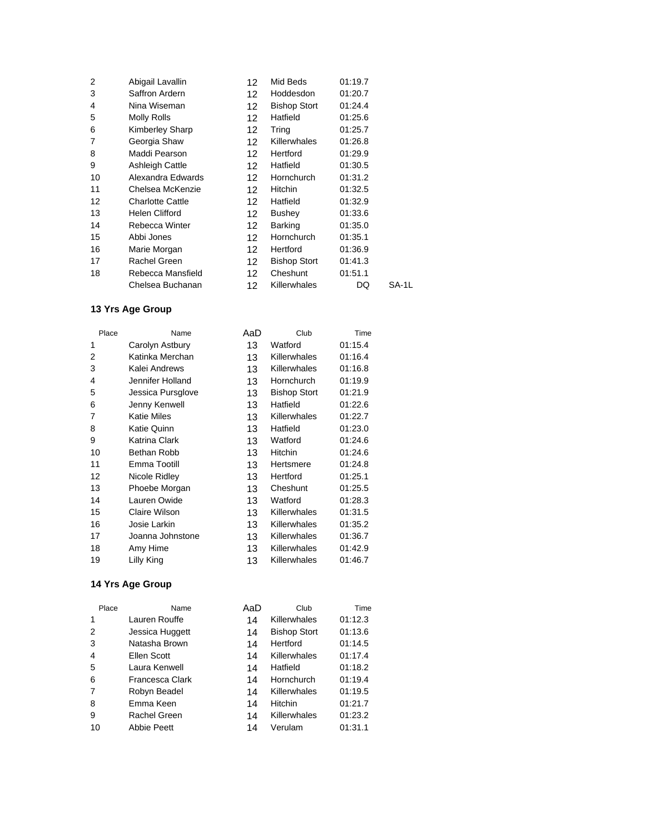| Abigail Lavallin        | 12.             | Mid Beds            | 01:19.7 |       |
|-------------------------|-----------------|---------------------|---------|-------|
| Saffron Ardern          | 12              | Hoddesdon           | 01:20.7 |       |
| Nina Wiseman            | 12              | <b>Bishop Stort</b> | 01:24.4 |       |
| Molly Rolls             | 12              | Hatfield            | 01:25.6 |       |
| Kimberley Sharp         | 12              | Tring               | 01:25.7 |       |
| Georgia Shaw            | 12.             | <b>Killerwhales</b> | 01:26.8 |       |
| Maddi Pearson           | 12.             | Hertford            | 01:29.9 |       |
| Ashleigh Cattle         | 12              | Hatfield            | 01:30.5 |       |
| Alexandra Edwards       | 12              | Hornchurch          | 01:31.2 |       |
| Chelsea McKenzie        | 12.             | <b>Hitchin</b>      | 01:32.5 |       |
| <b>Charlotte Cattle</b> | 12.             | Hatfield            | 01:32.9 |       |
| <b>Helen Clifford</b>   | 12              | Bushey              | 01:33.6 |       |
| Rebecca Winter          | 12 <sup>2</sup> | Barking             | 01:35.0 |       |
| Abbi Jones              | 12 <sup>2</sup> | Hornchurch          | 01:35.1 |       |
| Marie Morgan            | 12              | Hertford            | 01:36.9 |       |
| Rachel Green            | 12.             | <b>Bishop Stort</b> | 01:41.3 |       |
| Rebecca Mansfield       | 12              | Cheshunt            | 01:51.1 |       |
| Chelsea Buchanan        | 12.             | <b>Killerwhales</b> | DQ      | SA-1L |
|                         |                 |                     |         |       |

| Place | Name               | AaD | Club                | Time    |
|-------|--------------------|-----|---------------------|---------|
| 1     | Carolyn Astbury    | 13  | Watford             | 01:15.4 |
| 2     | Katinka Merchan    | 13  | Killerwhales        | 01:16.4 |
| 3     | Kalei Andrews      | 13  | Killerwhales        | 01:16.8 |
| 4     | Jennifer Holland   | 13  | Hornchurch          | 01:19.9 |
| 5     | Jessica Pursglove  | 13  | <b>Bishop Stort</b> | 01:21.9 |
| 6     | Jenny Kenwell      | 13  | Hatfield            | 01:22.6 |
| 7     | <b>Katie Miles</b> | 13  | Killerwhales        | 01:22.7 |
| 8     | <b>Katie Quinn</b> | 13  | Hatfield            | 01:23.0 |
| 9     | Katrina Clark      | 13  | Watford             | 01:24.6 |
| 10    | Bethan Robb        | 13  | Hitchin             | 01:24.6 |
| 11    | Emma Tootill       | 13  | Hertsmere           | 01:24.8 |
| 12    | Nicole Ridley      | 13  | Hertford            | 01:25.1 |
| 13    | Phoebe Morgan      | 13  | Cheshunt            | 01:25.5 |
| 14    | Lauren Owide       | 13  | Watford             | 01:28.3 |
| 15    | Claire Wilson      | 13  | Killerwhales        | 01:31.5 |
| 16    | Josie Larkin       | 13  | Killerwhales        | 01:35.2 |
| 17    | Joanna Johnstone   | 13  | Killerwhales        | 01:36.7 |
| 18    | Amy Hime           | 13  | Killerwhales        | 01:42.9 |
| 19    | Lilly King         | 13  | Killerwhales        | 01:46.7 |

| Place          | Name            | AaD | Club                | Time    |
|----------------|-----------------|-----|---------------------|---------|
| 1              | Lauren Rouffe   | 14  | Killerwhales        | 01:12.3 |
| 2              | Jessica Huggett | 14  | <b>Bishop Stort</b> | 01:13.6 |
| 3              | Natasha Brown   | 14  | Hertford            | 01:14.5 |
| $\overline{4}$ | Ellen Scott     | 14  | Killerwhales        | 01:17.4 |
| 5              | Laura Kenwell   | 14  | Hatfield            | 01:18.2 |
| 6              | Francesca Clark | 14  | Hornchurch          | 01:19.4 |
| 7              | Robyn Beadel    | 14  | Killerwhales        | 01:19.5 |
| 8              | Emma Keen       | 14  | Hitchin             | 01:21.7 |
| 9              | Rachel Green    | 14  | Killerwhales        | 01:23.2 |
| 10             | Abbie Peett     | 14  | Verulam             | 01:31.1 |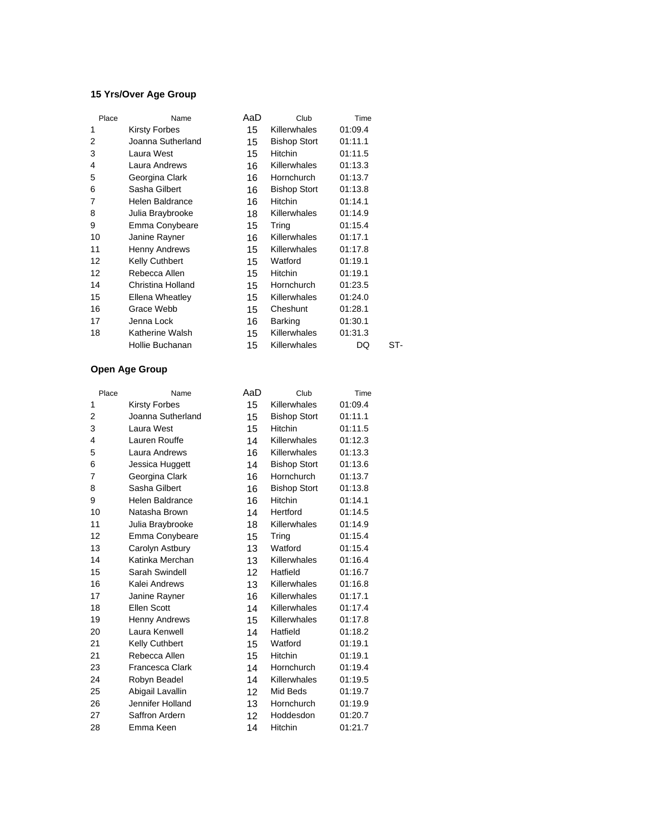#### **15 Yrs/Over Age Group**

| Place | Name                  | AaD | Club                | Time    |     |
|-------|-----------------------|-----|---------------------|---------|-----|
| 1     | <b>Kirsty Forbes</b>  | 15  | <b>Killerwhales</b> | 01:09.4 |     |
| 2     | Joanna Sutherland     | 15  | <b>Bishop Stort</b> | 01:11.1 |     |
| 3     | Laura West            | 15  | <b>Hitchin</b>      | 01:11.5 |     |
| 4     | Laura Andrews         | 16  | <b>Killerwhales</b> | 01:13.3 |     |
| 5     | Georgina Clark        | 16  | Hornchurch          | 01:13.7 |     |
| 6     | Sasha Gilbert         | 16  | <b>Bishop Stort</b> | 01:13.8 |     |
| 7     | Helen Baldrance       | 16  | <b>Hitchin</b>      | 01:14.1 |     |
| 8     | Julia Braybrooke      | 18  | <b>Killerwhales</b> | 01:14.9 |     |
| 9     | Emma Conybeare        | 15  | Tring               | 01:15.4 |     |
| 10    | Janine Rayner         | 16  | <b>Killerwhales</b> | 01:17.1 |     |
| 11    | Henny Andrews         | 15  | Killerwhales        | 01:17.8 |     |
| 12    | <b>Kelly Cuthbert</b> | 15  | Watford             | 01:19.1 |     |
| 12    | Rebecca Allen         | 15  | <b>Hitchin</b>      | 01:19.1 |     |
| 14    | Christina Holland     | 15  | Hornchurch          | 01:23.5 |     |
| 15    | Ellena Wheatley       | 15  | <b>Killerwhales</b> | 01:24.0 |     |
| 16    | Grace Webb            | 15  | Cheshunt            | 01:28.1 |     |
| 17    | Jenna Lock            | 16  | <b>Barking</b>      | 01:30.1 |     |
| 18    | Katherine Walsh       | 15  | <b>Killerwhales</b> | 01:31.3 |     |
|       | Hollie Buchanan       | 15  | Killerwhales        | DQ      | ST- |
|       |                       |     |                     |         |     |

| Place | Name                   | AaD | Club                | Time    |
|-------|------------------------|-----|---------------------|---------|
| 1     | <b>Kirsty Forbes</b>   | 15  | Killerwhales        | 01:09.4 |
| 2     | Joanna Sutherland      | 15  | <b>Bishop Stort</b> | 01:11.1 |
| 3     | Laura West             | 15  | <b>Hitchin</b>      | 01:11.5 |
| 4     | Lauren Rouffe          | 14  | Killerwhales        | 01:12.3 |
| 5     | Laura Andrews          | 16  | Killerwhales        | 01:13.3 |
| 6     | Jessica Huggett        | 14  | <b>Bishop Stort</b> | 01:13.6 |
| 7     | Georgina Clark         | 16  | Hornchurch          | 01:13.7 |
| 8     | Sasha Gilbert          | 16  | <b>Bishop Stort</b> | 01:13.8 |
| 9     | Helen Baldrance        | 16  | Hitchin             | 01:14.1 |
| 10    | Natasha Brown          | 14  | Hertford            | 01:14.5 |
| 11    | Julia Braybrooke       | 18  | Killerwhales        | 01:14.9 |
| 12    | Emma Conybeare         | 15  | Tring               | 01:15.4 |
| 13    | Carolyn Astbury        | 13  | Watford             | 01:15.4 |
| 14    | Katinka Merchan        | 13  | Killerwhales        | 01:16.4 |
| 15    | Sarah Swindell         | 12  | Hatfield            | 01:16.7 |
| 16    | Kalei Andrews          | 13  | Killerwhales        | 01:16.8 |
| 17    | Janine Rayner          | 16  | Killerwhales        | 01:17.1 |
| 18    | Ellen Scott            | 14  | Killerwhales        | 01:17.4 |
| 19    | <b>Henny Andrews</b>   | 15  | Killerwhales        | 01:17.8 |
| 20    | Laura Kenwell          | 14  | Hatfield            | 01:18.2 |
| 21    | Kelly Cuthbert         | 15  | Watford             | 01:19.1 |
| 21    | Rebecca Allen          | 15  | Hitchin             | 01:19.1 |
| 23    | <b>Francesca Clark</b> | 14  | Hornchurch          | 01:19.4 |
| 24    | Robyn Beadel           | 14  | Killerwhales        | 01:19.5 |
| 25    | Abigail Lavallin       | 12  | Mid Beds            | 01:19.7 |
| 26    | Jennifer Holland       | 13  | Hornchurch          | 01:19.9 |
| 27    | Saffron Ardern         | 12  | Hoddesdon           | 01:20.7 |
| 28    | Emma Keen              | 14  | Hitchin             | 01:21.7 |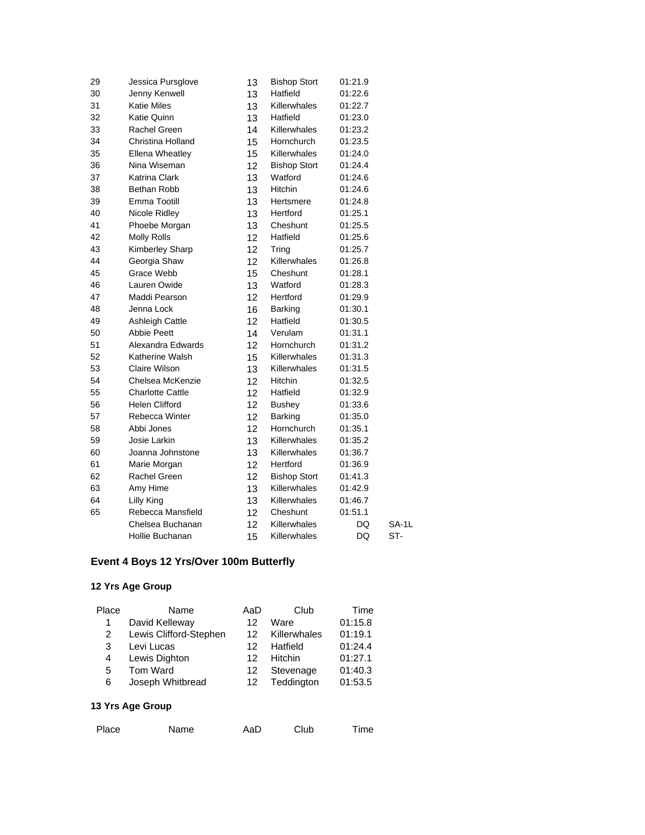| 29 | Jessica Pursglove       | 13 | <b>Bishop Stort</b> | 01:21.9 |       |
|----|-------------------------|----|---------------------|---------|-------|
| 30 | Jenny Kenwell           | 13 | Hatfield            | 01:22.6 |       |
| 31 | <b>Katie Miles</b>      | 13 | Killerwhales        | 01:22.7 |       |
| 32 | <b>Katie Quinn</b>      | 13 | Hatfield            | 01:23.0 |       |
| 33 | Rachel Green            | 14 | Killerwhales        | 01:23.2 |       |
| 34 | Christina Holland       | 15 | Hornchurch          | 01:23.5 |       |
| 35 | <b>Ellena Wheatley</b>  | 15 | Killerwhales        | 01:24.0 |       |
| 36 | Nina Wiseman            | 12 | <b>Bishop Stort</b> | 01:24.4 |       |
| 37 | <b>Katrina Clark</b>    | 13 | Watford             | 01:24.6 |       |
| 38 | Bethan Robb             | 13 | Hitchin             | 01:24.6 |       |
| 39 | Emma Tootill            | 13 | Hertsmere           | 01:24.8 |       |
| 40 | Nicole Ridley           | 13 | Hertford            | 01:25.1 |       |
| 41 | Phoebe Morgan           | 13 | Cheshunt            | 01:25.5 |       |
| 42 | <b>Molly Rolls</b>      | 12 | Hatfield            | 01:25.6 |       |
| 43 | Kimberley Sharp         | 12 | Tring               | 01:25.7 |       |
| 44 | Georgia Shaw            | 12 | Killerwhales        | 01:26.8 |       |
| 45 | Grace Webb              | 15 | Cheshunt            | 01:28.1 |       |
| 46 | Lauren Owide            | 13 | Watford             | 01:28.3 |       |
| 47 | Maddi Pearson           | 12 | Hertford            | 01:29.9 |       |
| 48 | Jenna Lock              | 16 | Barking             | 01:30.1 |       |
| 49 | <b>Ashleigh Cattle</b>  | 12 | Hatfield            | 01:30.5 |       |
| 50 | <b>Abbie Peett</b>      | 14 | Verulam             | 01:31.1 |       |
| 51 | Alexandra Edwards       | 12 | Hornchurch          | 01:31.2 |       |
| 52 | Katherine Walsh         | 15 | Killerwhales        | 01:31.3 |       |
| 53 | Claire Wilson           | 13 | Killerwhales        | 01:31.5 |       |
| 54 | Chelsea McKenzie        | 12 | <b>Hitchin</b>      | 01:32.5 |       |
| 55 | <b>Charlotte Cattle</b> | 12 | Hatfield            | 01:32.9 |       |
| 56 | <b>Helen Clifford</b>   | 12 | <b>Bushey</b>       | 01:33.6 |       |
| 57 | Rebecca Winter          | 12 | <b>Barking</b>      | 01:35.0 |       |
| 58 | Abbi Jones              | 12 | Hornchurch          | 01:35.1 |       |
| 59 | Josie Larkin            | 13 | Killerwhales        | 01:35.2 |       |
| 60 | Joanna Johnstone        | 13 | Killerwhales        | 01:36.7 |       |
| 61 | Marie Morgan            | 12 | Hertford            | 01:36.9 |       |
| 62 | Rachel Green            | 12 | <b>Bishop Stort</b> | 01:41.3 |       |
| 63 | Amy Hime                | 13 | Killerwhales        | 01:42.9 |       |
| 64 | Lilly King              | 13 | Killerwhales        | 01:46.7 |       |
| 65 | Rebecca Mansfield       | 12 | Cheshunt            | 01:51.1 |       |
|    | Chelsea Buchanan        | 12 | Killerwhales        | DQ      | SA-1L |
|    | Hollie Buchanan         | 15 | Killerwhales        | DQ      | ST-   |
|    |                         |    |                     |         |       |

## **Event 4 Boys 12 Yrs/Over 100m Butterfly**

#### **12 Yrs Age Group**

| Place | Name                   | AaD | Club         | Time    |
|-------|------------------------|-----|--------------|---------|
|       | David Kelleway         | 12  | Ware         | 01:15.8 |
| 2     | Lewis Clifford-Stephen | 12. | Killerwhales | 01:19.1 |
| 3     | Levi Lucas             | 12  | Hatfield     | 01:24.4 |
| 4     | Lewis Dighton          | 12  | Hitchin      | 01:27.1 |
| 5     | Tom Ward               | 12  | Stevenage    | 01:40.3 |
| 6     | Joseph Whitbread       | 12  | Teddington   | 01:53.5 |
|       |                        |     |              |         |

| Place | Name | AaD | Club | Time |
|-------|------|-----|------|------|
|       |      |     |      |      |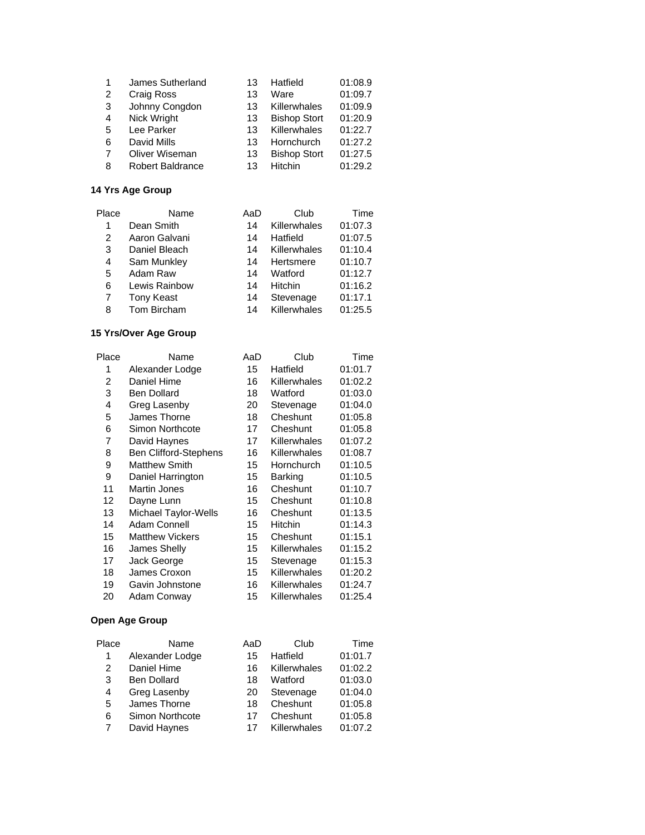| 1 | James Sutherland        | 13 | Hatfield            | 01:08.9 |
|---|-------------------------|----|---------------------|---------|
| 2 | Craig Ross              | 13 | Ware                | 01:09.7 |
| 3 | Johnny Congdon          | 13 | Killerwhales        | 01:09.9 |
| 4 | Nick Wright             | 13 | <b>Bishop Stort</b> | 01:20.9 |
| 5 | Lee Parker              | 13 | Killerwhales        | 01:22.7 |
| 6 | David Mills             | 13 | Hornchurch          | 01:27.2 |
| 7 | Oliver Wiseman          | 13 | <b>Bishop Stort</b> | 01:27.5 |
| 8 | <b>Robert Baldrance</b> | 13 | Hitchin             | 01:29.2 |

| Place | Name              | AaD | Club         | Time    |
|-------|-------------------|-----|--------------|---------|
| 1     | Dean Smith        | 14  | Killerwhales | 01:07.3 |
| 2     | Aaron Galvani     | 14  | Hatfield     | 01:07.5 |
| 3     | Daniel Bleach     | 14  | Killerwhales | 01:10.4 |
| 4     | Sam Munkley       | 14  | Hertsmere    | 01:10.7 |
| 5     | Adam Raw          | 14  | Watford      | 01:12.7 |
| 6     | Lewis Rainbow     | 14  | Hitchin      | 01:16.2 |
| 7     | <b>Tony Keast</b> | 14  | Stevenage    | 01:17.1 |
| 8     | Tom Bircham       | 14  | Killerwhales | 01:25.5 |

# **15 Yrs/Over Age Group**

| Place | Name                         | AaD | Club           | Time    |
|-------|------------------------------|-----|----------------|---------|
| 1     | Alexander Lodge              | 15  | Hatfield       | 01:01.7 |
| 2     | Daniel Hime                  | 16  | Killerwhales   | 01:02.2 |
| 3     | <b>Ben Dollard</b>           | 18  | Watford        | 01:03.0 |
| 4     | Greg Lasenby                 | 20  | Stevenage      | 01:04.0 |
| 5     | James Thorne                 | 18  | Cheshunt       | 01:05.8 |
| 6     | Simon Northcote              | 17  | Cheshunt       | 01:05.8 |
| 7     | David Haynes                 | 17  | Killerwhales   | 01:07.2 |
| 8     | <b>Ben Clifford-Stephens</b> | 16  | Killerwhales   | 01:08.7 |
| 9     | <b>Matthew Smith</b>         | 15  | Hornchurch     | 01:10.5 |
| 9     | Daniel Harrington            | 15  | <b>Barking</b> | 01:10.5 |
| 11    | <b>Martin Jones</b>          | 16  | Cheshunt       | 01:10.7 |
| 12    | Dayne Lunn                   | 15  | Cheshunt       | 01:10.8 |
| 13    | Michael Taylor-Wells         | 16  | Cheshunt       | 01:13.5 |
| 14    | Adam Connell                 | 15  | Hitchin        | 01:14.3 |
| 15    | <b>Matthew Vickers</b>       | 15  | Cheshunt       | 01:15.1 |
| 16    | James Shelly                 | 15  | Killerwhales   | 01:15.2 |
| 17    | Jack George                  | 15  | Stevenage      | 01:15.3 |
| 18    | James Croxon                 | 15  | Killerwhales   | 01:20.2 |
| 19    | Gavin Johnstone              | 16  | Killerwhales   | 01:24.7 |
| 20    | Adam Conway                  | 15  | Killerwhales   | 01:25.4 |
|       |                              |     |                |         |

| Name               | AaD | Club         | Time    |
|--------------------|-----|--------------|---------|
| Alexander Lodge    | 15  | Hatfield     | 01:01.7 |
| Daniel Hime        | 16  | Killerwhales | 01:02.2 |
| <b>Ben Dollard</b> | 18  | Watford      | 01:03.0 |
| Greg Lasenby       | 20  | Stevenage    | 01:04.0 |
| James Thorne       | 18  | Cheshunt     | 01:05.8 |
| Simon Northcote    | 17  | Cheshunt     | 01:05.8 |
| David Haynes       | 17  | Killerwhales | 01:07.2 |
|                    |     |              |         |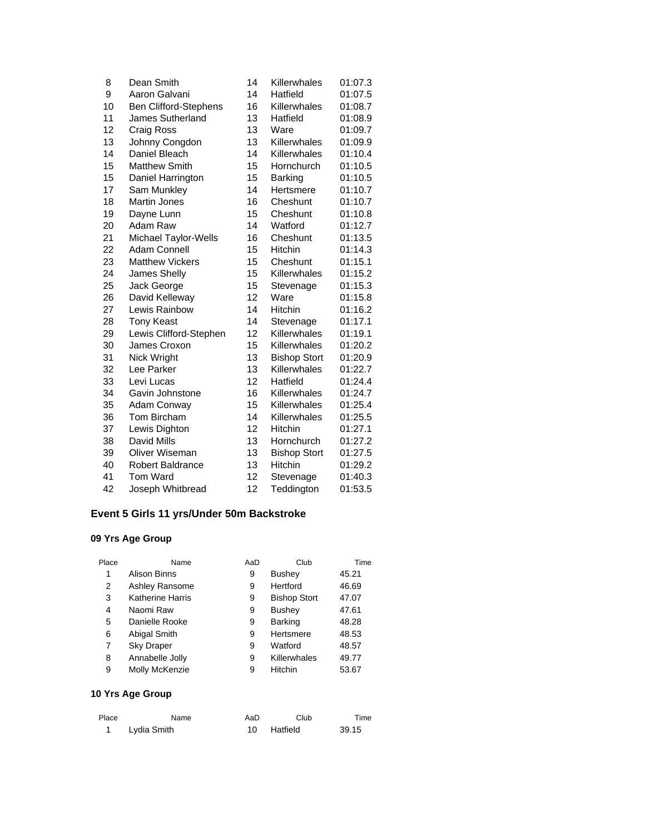| 8  | Dean Smith                   | 14 | Killerwhales        | 01:07.3 |
|----|------------------------------|----|---------------------|---------|
| 9  | Aaron Galvani                | 14 | Hatfield            | 01:07.5 |
| 10 | <b>Ben Clifford-Stephens</b> | 16 | Killerwhales        | 01:08.7 |
| 11 | James Sutherland             | 13 | Hatfield            | 01:08.9 |
| 12 | Craig Ross                   | 13 | Ware                | 01:09.7 |
| 13 | Johnny Congdon               | 13 | Killerwhales        | 01:09.9 |
| 14 | Daniel Bleach                | 14 | Killerwhales        | 01:10.4 |
| 15 | <b>Matthew Smith</b>         | 15 | Hornchurch          | 01:10.5 |
| 15 | Daniel Harrington            | 15 | <b>Barking</b>      | 01:10.5 |
| 17 | Sam Munkley                  | 14 | Hertsmere           | 01:10.7 |
| 18 | Martin Jones                 | 16 | Cheshunt            | 01:10.7 |
| 19 | Dayne Lunn                   | 15 | Cheshunt            | 01:10.8 |
| 20 | Adam Raw                     | 14 | Watford             | 01:12.7 |
| 21 | Michael Taylor-Wells         | 16 | Cheshunt            | 01:13.5 |
| 22 | <b>Adam Connell</b>          | 15 | Hitchin             | 01:14.3 |
| 23 | <b>Matthew Vickers</b>       | 15 | Cheshunt            | 01:15.1 |
| 24 | James Shelly                 | 15 | Killerwhales        | 01:15.2 |
| 25 | Jack George                  | 15 | Stevenage           | 01:15.3 |
| 26 | David Kelleway               | 12 | Ware                | 01:15.8 |
| 27 | Lewis Rainbow                | 14 | Hitchin             | 01:16.2 |
| 28 | <b>Tony Keast</b>            | 14 | Stevenage           | 01:17.1 |
| 29 | Lewis Clifford-Stephen       | 12 | Killerwhales        | 01:19.1 |
| 30 | James Croxon                 | 15 | Killerwhales        | 01:20.2 |
| 31 | Nick Wright                  | 13 | <b>Bishop Stort</b> | 01:20.9 |
| 32 | Lee Parker                   | 13 | Killerwhales        | 01:22.7 |
| 33 | Levi Lucas                   | 12 | Hatfield            | 01:24.4 |
| 34 | Gavin Johnstone              | 16 | Killerwhales        | 01:24.7 |
| 35 | Adam Conway                  | 15 | Killerwhales        | 01:25.4 |
| 36 | Tom Bircham                  | 14 | Killerwhales        | 01:25.5 |
| 37 | Lewis Dighton                | 12 | Hitchin             | 01:27.1 |
| 38 | David Mills                  | 13 | Hornchurch          | 01:27.2 |
| 39 | Oliver Wiseman               | 13 | <b>Bishop Stort</b> | 01:27.5 |
| 40 | <b>Robert Baldrance</b>      | 13 | Hitchin             | 01:29.2 |
| 41 | Tom Ward                     | 12 | Stevenage           | 01:40.3 |
| 42 | Joseph Whitbread             | 12 | Teddington          | 01:53.5 |

# **Event 5 Girls 11 yrs/Under 50m Backstroke**

## **09 Yrs Age Group**

| Place | Name                    | AaD | Club                | Time  |
|-------|-------------------------|-----|---------------------|-------|
| 1     | Alison Binns            | 9   | Bushey              | 45.21 |
| 2     | Ashley Ransome          | 9   | Hertford            | 46.69 |
| 3     | <b>Katherine Harris</b> | 9   | <b>Bishop Stort</b> | 47.07 |
| 4     | Naomi Raw               | 9   | Bushey              | 47.61 |
| 5     | Danielle Rooke          | 9   | <b>Barking</b>      | 48.28 |
| 6     | Abigal Smith            | 9   | Hertsmere           | 48.53 |
| 7     | <b>Sky Draper</b>       | 9   | Watford             | 48.57 |
| 8     | Annabelle Jolly         | 9   | Killerwhales        | 49.77 |
| 9     | Molly McKenzie          | 9   | Hitchin             | 53.67 |

| Place | Name        | AaD | Club        | Time  |
|-------|-------------|-----|-------------|-------|
|       | Lydia Smith |     | 10 Hatfield | 39.15 |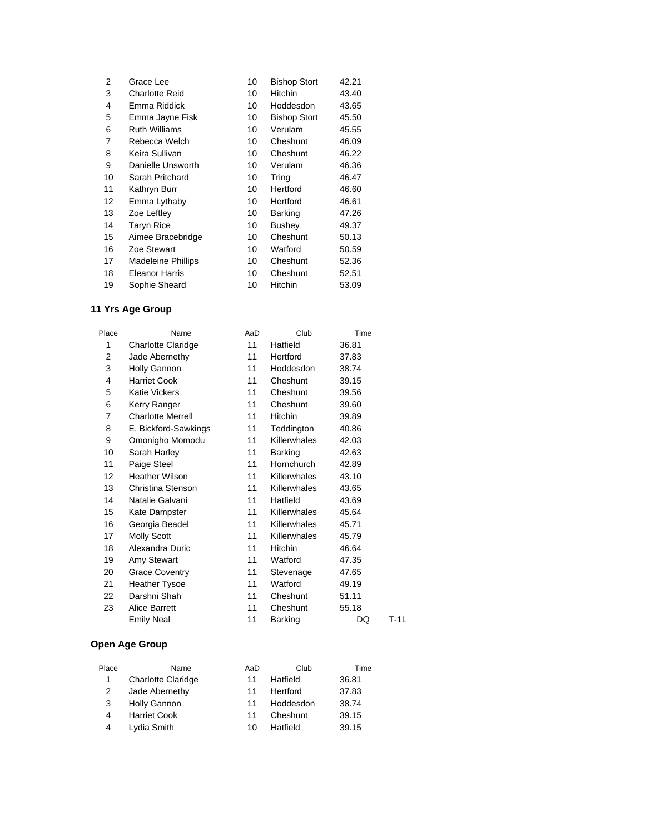| $\overline{2}$ | Grace Lee                 | 10 | <b>Bishop Stort</b> | 42.21 |
|----------------|---------------------------|----|---------------------|-------|
| 3              | <b>Charlotte Reid</b>     | 10 | Hitchin             | 43.40 |
| 4              | Emma Riddick              | 10 | Hoddesdon           | 43.65 |
| 5              | Emma Jayne Fisk           | 10 | <b>Bishop Stort</b> | 45.50 |
| 6              | <b>Ruth Williams</b>      | 10 | Verulam             | 45.55 |
| 7              | Rebecca Welch             | 10 | Cheshunt            | 46.09 |
| 8              | Keira Sullivan            | 10 | Cheshunt            | 46.22 |
| 9              | Danielle Unsworth         | 10 | Verulam             | 46.36 |
| 10             | Sarah Pritchard           | 10 | Tring               | 46.47 |
| 11             | Kathryn Burr              | 10 | Hertford            | 46.60 |
| 12             | Emma Lythaby              | 10 | Hertford            | 46.61 |
| 13             | Zoe Leftley               | 10 | Barking             | 47.26 |
| 14             | <b>Taryn Rice</b>         | 10 | Bushey              | 49.37 |
| 15             | Aimee Bracebridge         | 10 | Cheshunt            | 50.13 |
| 16             | Zoe Stewart               | 10 | Watford             | 50.59 |
| 17             | <b>Madeleine Phillips</b> | 10 | Cheshunt            | 52.36 |
| 18             | <b>Eleanor Harris</b>     | 10 | Cheshunt            | 52.51 |
| 19             | Sophie Sheard             | 10 | Hitchin             | 53.09 |

| Place | Name                      | AaD | Club                | Time  |      |
|-------|---------------------------|-----|---------------------|-------|------|
| 1     | <b>Charlotte Claridge</b> | 11  | Hatfield            | 36.81 |      |
| 2     | Jade Abernethy            | 11  | Hertford            | 37.83 |      |
| 3     | Holly Gannon              | 11  | Hoddesdon           | 38.74 |      |
| 4     | <b>Harriet Cook</b>       | 11  | Cheshunt            | 39.15 |      |
| 5     | <b>Katie Vickers</b>      | 11  | Cheshunt            | 39.56 |      |
| 6     | Kerry Ranger              | 11  | Cheshunt            | 39.60 |      |
| 7     | <b>Charlotte Merrell</b>  | 11  | Hitchin             | 39.89 |      |
| 8     | E. Bickford-Sawkings      | 11  | Teddington          | 40.86 |      |
| 9     | Omonigho Momodu           | 11  | Killerwhales        | 42.03 |      |
| 10    | Sarah Harley              | 11  | <b>Barking</b>      | 42.63 |      |
| 11    | Paige Steel               | 11  | Hornchurch          | 42.89 |      |
| 12    | <b>Heather Wilson</b>     | 11  | <b>Killerwhales</b> | 43.10 |      |
| 13    | Christina Stenson         | 11  | Killerwhales        | 43.65 |      |
| 14    | Natalie Galvani           | 11  | Hatfield            | 43.69 |      |
| 15    | Kate Dampster             | 11  | Killerwhales        | 45.64 |      |
| 16    | Georgia Beadel            | 11  | Killerwhales        | 45.71 |      |
| 17    | <b>Molly Scott</b>        | 11  | Killerwhales        | 45.79 |      |
| 18    | Alexandra Duric           | 11  | <b>Hitchin</b>      | 46.64 |      |
| 19    | Amy Stewart               | 11  | Watford             | 47.35 |      |
| 20    | <b>Grace Coventry</b>     | 11  | Stevenage           | 47.65 |      |
| 21    | <b>Heather Tysoe</b>      | 11  | Watford             | 49.19 |      |
| 22    | Darshni Shah              | 11  | Cheshunt            | 51.11 |      |
| 23    | <b>Alice Barrett</b>      | 11  | Cheshunt            | 55.18 |      |
|       | <b>Emily Neal</b>         | 11  | Barking             | DQ    | T-1L |

| Place | Name                      | AaD | Club      | Time  |
|-------|---------------------------|-----|-----------|-------|
| 1     | <b>Charlotte Claridge</b> | 11  | Hatfield  | 36.81 |
| 2     | Jade Abernethy            | 11  | Hertford  | 37.83 |
| 3     | Holly Gannon              | 11  | Hoddesdon | 38.74 |
| 4     | <b>Harriet Cook</b>       | 11  | Cheshunt  | 39.15 |
| 4     | Lydia Smith               | 10  | Hatfield  | 39.15 |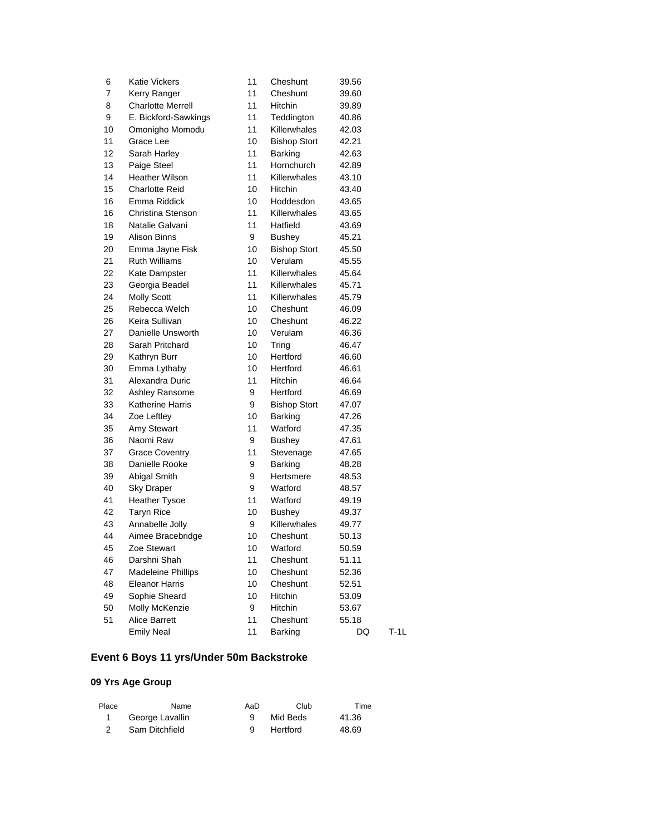| 6  | <b>Katie Vickers</b>      | 11 | Cheshunt            | 39.56 |        |
|----|---------------------------|----|---------------------|-------|--------|
| 7  | Kerry Ranger              | 11 | Cheshunt            | 39.60 |        |
| 8  | <b>Charlotte Merrell</b>  | 11 | Hitchin             | 39.89 |        |
| 9  | E. Bickford-Sawkings      | 11 | Teddington          | 40.86 |        |
| 10 | Omonigho Momodu           | 11 | Killerwhales        | 42.03 |        |
| 11 | Grace Lee                 | 10 | <b>Bishop Stort</b> | 42.21 |        |
| 12 | Sarah Harley              | 11 | Barking             | 42.63 |        |
| 13 | Paige Steel               | 11 | Hornchurch          | 42.89 |        |
| 14 | <b>Heather Wilson</b>     | 11 | Killerwhales        | 43.10 |        |
| 15 | Charlotte Reid            | 10 | Hitchin             | 43.40 |        |
| 16 | Emma Riddick              | 10 | Hoddesdon           | 43.65 |        |
| 16 | Christina Stenson         | 11 | Killerwhales        | 43.65 |        |
| 18 | Natalie Galvani           | 11 | Hatfield            | 43.69 |        |
| 19 | Alison Binns              | 9  | <b>Bushey</b>       | 45.21 |        |
| 20 | Emma Jayne Fisk           | 10 | <b>Bishop Stort</b> | 45.50 |        |
| 21 | <b>Ruth Williams</b>      | 10 | Verulam             | 45.55 |        |
| 22 | Kate Dampster             | 11 | Killerwhales        | 45.64 |        |
| 23 | Georgia Beadel            | 11 | <b>Killerwhales</b> | 45.71 |        |
| 24 | <b>Molly Scott</b>        | 11 | <b>Killerwhales</b> | 45.79 |        |
| 25 | Rebecca Welch             | 10 | Cheshunt            | 46.09 |        |
| 26 | Keira Sullivan            | 10 | Cheshunt            | 46.22 |        |
| 27 | Danielle Unsworth         | 10 | Verulam             | 46.36 |        |
| 28 | Sarah Pritchard           | 10 | Tring               | 46.47 |        |
| 29 | Kathryn Burr              | 10 | Hertford            | 46.60 |        |
| 30 | Emma Lythaby              | 10 | Hertford            | 46.61 |        |
| 31 | Alexandra Duric           | 11 | Hitchin             | 46.64 |        |
| 32 | Ashley Ransome            | 9  | Hertford            | 46.69 |        |
| 33 | <b>Katherine Harris</b>   | 9  | <b>Bishop Stort</b> | 47.07 |        |
| 34 | Zoe Leftley               | 10 | Barking             | 47.26 |        |
| 35 | Amy Stewart               | 11 | Watford             | 47.35 |        |
| 36 | Naomi Raw                 | 9  | <b>Bushey</b>       | 47.61 |        |
| 37 | <b>Grace Coventry</b>     | 11 | Stevenage           | 47.65 |        |
| 38 | Danielle Rooke            | 9  | Barking             | 48.28 |        |
| 39 | Abigal Smith              | 9  | Hertsmere           | 48.53 |        |
| 40 | <b>Sky Draper</b>         | 9  | Watford             | 48.57 |        |
| 41 | <b>Heather Tysoe</b>      | 11 | Watford             | 49.19 |        |
| 42 | <b>Taryn Rice</b>         | 10 | Bushey              | 49.37 |        |
| 43 | Annabelle Jolly           | 9  | Killerwhales        | 49.77 |        |
| 44 | Aimee Bracebridge         | 10 | Cheshunt            | 50.13 |        |
| 45 | Zoe Stewart               | 10 | Watford             | 50.59 |        |
| 46 | Darshni Shah              | 11 | Cheshunt            | 51.11 |        |
| 47 | <b>Madeleine Phillips</b> | 10 | Cheshunt            | 52.36 |        |
| 48 | <b>Eleanor Harris</b>     | 10 | Cheshunt            | 52.51 |        |
| 49 | Sophie Sheard             | 10 | Hitchin             | 53.09 |        |
| 50 | Molly McKenzie            | 9  | Hitchin             | 53.67 |        |
| 51 | <b>Alice Barrett</b>      | 11 | Cheshunt            | 55.18 |        |
|    | <b>Emily Neal</b>         | 11 | Barking             | DQ    | $T-1L$ |

# **Event 6 Boys 11 yrs/Under 50m Backstroke**

| Place | Name            | AaD | Club     | Time  |
|-------|-----------------|-----|----------|-------|
|       | George Lavallin |     | Mid Beds | 41.36 |
|       | Sam Ditchfield  |     | Hertford | 48.69 |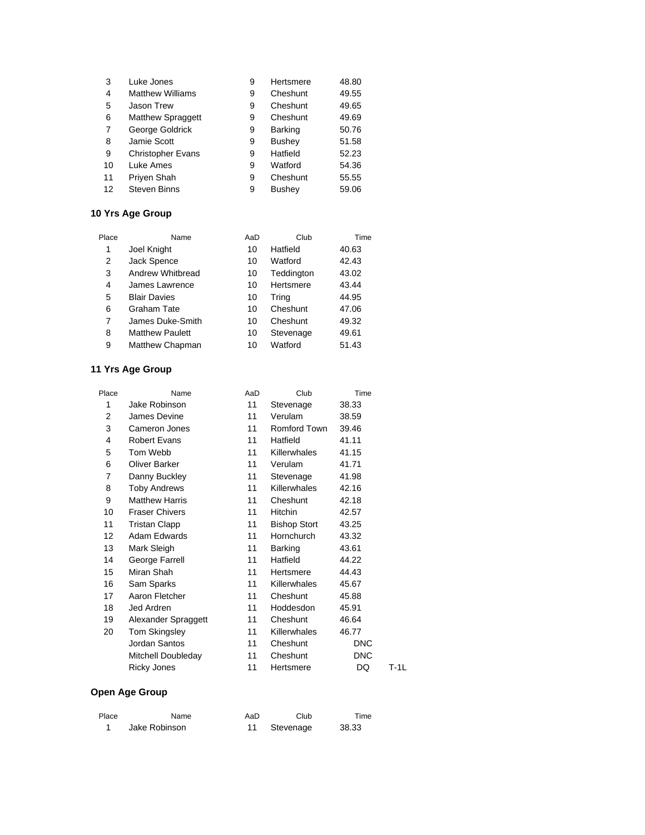| 3  | Luke Jones               | 9 | Hertsmere      | 48.80 |
|----|--------------------------|---|----------------|-------|
| 4  | <b>Matthew Williams</b>  | 9 | Cheshunt       | 49.55 |
| 5  | <b>Jason Trew</b>        | 9 | Cheshunt       | 49.65 |
| 6  | <b>Matthew Spraggett</b> | 9 | Cheshunt       | 49.69 |
| 7  | George Goldrick          | 9 | <b>Barking</b> | 50.76 |
| 8  | Jamie Scott              | 9 | Bushey         | 51.58 |
| 9  | <b>Christopher Evans</b> | 9 | Hatfield       | 52.23 |
| 10 | Luke Ames                | 9 | Watford        | 54.36 |
| 11 | Priyen Shah              | 9 | Cheshunt       | 55.55 |
| 12 | <b>Steven Binns</b>      | 9 | Bushey         | 59.06 |

| Place | Name                   | AaD | Club       | Time  |
|-------|------------------------|-----|------------|-------|
| 1     | Joel Knight            | 10  | Hatfield   | 40.63 |
| 2     | Jack Spence            | 10  | Watford    | 42.43 |
| 3     | Andrew Whitbread       | 10  | Teddington | 43.02 |
| 4     | James Lawrence         | 10  | Hertsmere  | 43.44 |
| 5     | <b>Blair Davies</b>    | 10  | Tring      | 44.95 |
| 6     | Graham Tate            | 10  | Cheshunt   | 47.06 |
| 7     | James Duke-Smith       | 10  | Cheshunt   | 49.32 |
| 8     | <b>Matthew Paulett</b> | 10  | Stevenage  | 49.61 |
| 9     | Matthew Chapman        | 10  | Watford    | 51.43 |

## **11 Yrs Age Group**

| Place | Name                  | AaD | Club                | Time       |        |
|-------|-----------------------|-----|---------------------|------------|--------|
| 1     | Jake Robinson         | 11  | Stevenage           | 38.33      |        |
| 2     | James Devine          | 11  | Verulam             | 38.59      |        |
| 3     | Cameron Jones         | 11  | Romford Town        | 39.46      |        |
| 4     | <b>Robert Evans</b>   | 11  | Hatfield            | 41.11      |        |
| 5     | Tom Webb              | 11  | Killerwhales        | 41.15      |        |
| 6     | Oliver Barker         | 11  | Verulam             | 41.71      |        |
| 7     | Danny Buckley         | 11  | Stevenage           | 41.98      |        |
| 8     | <b>Toby Andrews</b>   | 11  | Killerwhales        | 42.16      |        |
| 9     | <b>Matthew Harris</b> | 11  | Cheshunt            | 42.18      |        |
| 10    | <b>Fraser Chivers</b> | 11  | <b>Hitchin</b>      | 42.57      |        |
| 11    | <b>Tristan Clapp</b>  | 11  | <b>Bishop Stort</b> | 43.25      |        |
| 12    | Adam Edwards          | 11  | Hornchurch          | 43.32      |        |
| 13    | Mark Sleigh           | 11  | Barking             | 43.61      |        |
| 14    | George Farrell        | 11  | Hatfield            | 44.22      |        |
| 15    | Miran Shah            | 11  | Hertsmere           | 44.43      |        |
| 16    | Sam Sparks            | 11  | Killerwhales        | 45.67      |        |
| 17    | Aaron Fletcher        | 11  | Cheshunt            | 45.88      |        |
| 18    | Jed Ardren            | 11  | Hoddesdon           | 45.91      |        |
| 19    | Alexander Spraggett   | 11  | Cheshunt            | 46.64      |        |
| 20    | Tom Skingsley         | 11  | <b>Killerwhales</b> | 46.77      |        |
|       | Jordan Santos         | 11  | Cheshunt            | <b>DNC</b> |        |
|       | Mitchell Doubleday    | 11  | Cheshunt            | <b>DNC</b> |        |
|       | <b>Ricky Jones</b>    | 11  | Hertsmere           | DQ         | $T-1L$ |

| Place | Name          | AaD | Club      | Time  |
|-------|---------------|-----|-----------|-------|
|       | Jake Robinson |     | Stevenage | 38.33 |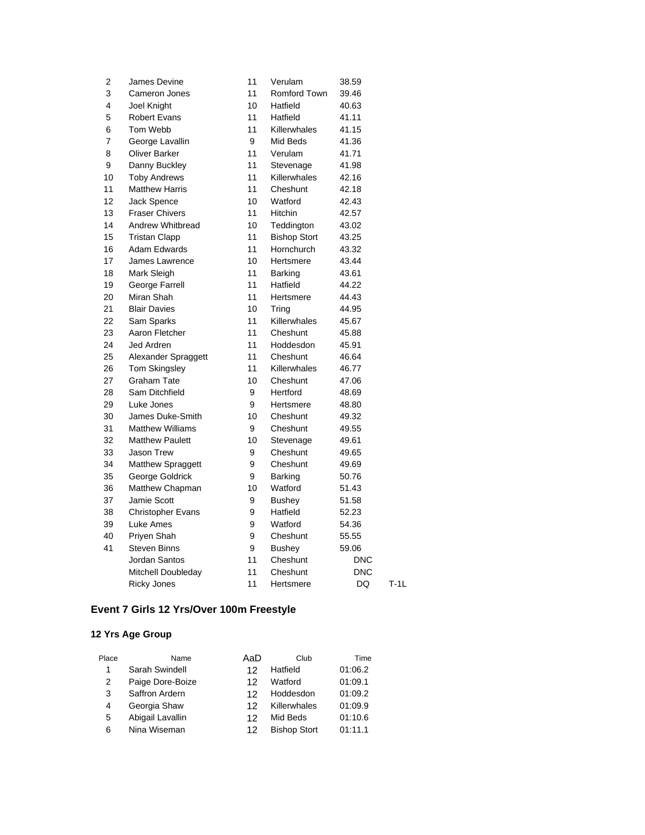| 2  | James Devine             | 11 | Verulam             | 38.59      |        |
|----|--------------------------|----|---------------------|------------|--------|
| 3  | Cameron Jones            | 11 | Romford Town        | 39.46      |        |
| 4  | Joel Knight              | 10 | Hatfield            | 40.63      |        |
| 5  | <b>Robert Evans</b>      | 11 | Hatfield            | 41.11      |        |
| 6  | Tom Webb                 | 11 | Killerwhales        | 41.15      |        |
| 7  | George Lavallin          | 9  | Mid Beds            | 41.36      |        |
| 8  | <b>Oliver Barker</b>     | 11 | Verulam             | 41.71      |        |
| 9  | Danny Buckley            | 11 | Stevenage           | 41.98      |        |
| 10 | <b>Toby Andrews</b>      | 11 | Killerwhales        | 42.16      |        |
| 11 | <b>Matthew Harris</b>    | 11 | Cheshunt            | 42.18      |        |
| 12 | <b>Jack Spence</b>       | 10 | Watford             | 42.43      |        |
| 13 | <b>Fraser Chivers</b>    | 11 | Hitchin             | 42.57      |        |
| 14 | Andrew Whitbread         | 10 | Teddington          | 43.02      |        |
| 15 | <b>Tristan Clapp</b>     | 11 | <b>Bishop Stort</b> | 43.25      |        |
| 16 | Adam Edwards             | 11 | Hornchurch          | 43.32      |        |
| 17 | James Lawrence           | 10 | Hertsmere           | 43.44      |        |
| 18 | Mark Sleigh              | 11 | <b>Barking</b>      | 43.61      |        |
| 19 | George Farrell           | 11 | Hatfield            | 44.22      |        |
| 20 | Miran Shah               | 11 | Hertsmere           | 44.43      |        |
| 21 | <b>Blair Davies</b>      | 10 | Tring               | 44.95      |        |
| 22 | Sam Sparks               | 11 | Killerwhales        | 45.67      |        |
| 23 | Aaron Fletcher           | 11 | Cheshunt            | 45.88      |        |
| 24 | Jed Ardren               | 11 | Hoddesdon           | 45.91      |        |
| 25 | Alexander Spraggett      | 11 | Cheshunt            | 46.64      |        |
| 26 | Tom Skingsley            | 11 | Killerwhales        | 46.77      |        |
| 27 | Graham Tate              | 10 | Cheshunt            | 47.06      |        |
| 28 | Sam Ditchfield           | 9  | Hertford            | 48.69      |        |
| 29 | Luke Jones               | 9  | Hertsmere           | 48.80      |        |
| 30 | James Duke-Smith         | 10 | Cheshunt            | 49.32      |        |
| 31 | <b>Matthew Williams</b>  | 9  | Cheshunt            | 49.55      |        |
| 32 | <b>Matthew Paulett</b>   | 10 | Stevenage           | 49.61      |        |
| 33 | <b>Jason Trew</b>        | 9  | Cheshunt            | 49.65      |        |
| 34 | Matthew Spraggett        | 9  | Cheshunt            | 49.69      |        |
| 35 | George Goldrick          | 9  | Barking             | 50.76      |        |
| 36 | Matthew Chapman          | 10 | Watford             | 51.43      |        |
| 37 | Jamie Scott              | 9  | <b>Bushey</b>       | 51.58      |        |
| 38 | <b>Christopher Evans</b> | 9  | Hatfield            | 52.23      |        |
| 39 | Luke Ames                | 9  | Watford             | 54.36      |        |
| 40 | Priyen Shah              | 9  | Cheshunt            | 55.55      |        |
| 41 | Steven Binns             | 9  | <b>Bushey</b>       | 59.06      |        |
|    | Jordan Santos            | 11 | Cheshunt            | <b>DNC</b> |        |
|    | Mitchell Doubleday       | 11 | Cheshunt            | <b>DNC</b> |        |
|    | <b>Ricky Jones</b>       | 11 | Hertsmere           | DQ         | $T-1L$ |

# **Event 7 Girls 12 Yrs/Over 100m Freestyle**

| Place | Name             | AaD | Club                | Time    |
|-------|------------------|-----|---------------------|---------|
| 1     | Sarah Swindell   | 12  | Hatfield            | 01:06.2 |
| 2     | Paige Dore-Boize | 12  | Watford             | 01:09.1 |
| 3     | Saffron Ardern   | 12. | Hoddesdon           | 01:09.2 |
| 4     | Georgia Shaw     | 12  | Killerwhales        | 01:09.9 |
| 5     | Abigail Lavallin | 12  | Mid Beds            | 01:10.6 |
| 6     | Nina Wiseman     | 12  | <b>Bishop Stort</b> | 01:11.1 |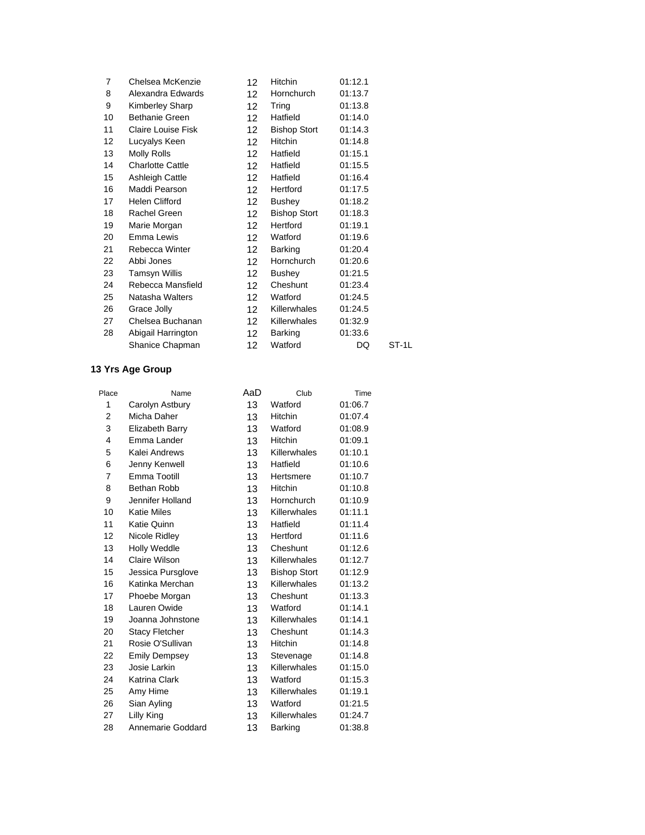| 7  | Chelsea McKenzie        | 12 <sup>2</sup>  | Hitchin             | 01:12.1 |       |
|----|-------------------------|------------------|---------------------|---------|-------|
| 8  | Alexandra Edwards       | 12 <sup>2</sup>  | Hornchurch          | 01:13.7 |       |
| 9  | Kimberley Sharp         | 12               | Tring               | 01:13.8 |       |
| 10 | <b>Bethanie Green</b>   | 12 <sup>2</sup>  | Hatfield            | 01:14.0 |       |
| 11 | Claire Louise Fisk      | 12 <sup>12</sup> | <b>Bishop Stort</b> | 01:14.3 |       |
| 12 | Lucyalys Keen           | 12 <sup>2</sup>  | Hitchin             | 01:14.8 |       |
| 13 | Molly Rolls             | 12 <sup>2</sup>  | Hatfield            | 01:15.1 |       |
| 14 | <b>Charlotte Cattle</b> | 12 <sup>2</sup>  | Hatfield            | 01:15.5 |       |
| 15 | Ashleigh Cattle         | 12 <sup>2</sup>  | Hatfield            | 01:16.4 |       |
| 16 | Maddi Pearson           | 12 <sup>12</sup> | Hertford            | 01:17.5 |       |
| 17 | Helen Clifford          | 12 <sup>2</sup>  | Bushey              | 01:18.2 |       |
| 18 | Rachel Green            | 12 <sup>12</sup> | <b>Bishop Stort</b> | 01:18.3 |       |
| 19 | Marie Morgan            | 12 <sup>2</sup>  | Hertford            | 01:19.1 |       |
| 20 | Emma Lewis              | 12 <sup>2</sup>  | Watford             | 01:19.6 |       |
| 21 | Rebecca Winter          | 12 <sup>2</sup>  | Barking             | 01:20.4 |       |
| 22 | Abbi Jones              | 12 <sup>2</sup>  | Hornchurch          | 01:20.6 |       |
| 23 | <b>Tamsyn Willis</b>    | 12 <sup>2</sup>  | <b>Bushey</b>       | 01:21.5 |       |
| 24 | Rebecca Mansfield       | 12               | Cheshunt            | 01:23.4 |       |
| 25 | Natasha Walters         | 12               | Watford             | 01:24.5 |       |
| 26 | Grace Jolly             | 12 <sup>2</sup>  | Killerwhales        | 01:24.5 |       |
| 27 | Chelsea Buchanan        | 12 <sup>12</sup> | Killerwhales        | 01:32.9 |       |
| 28 | Abigail Harrington      | 12 <sup>2</sup>  | Barking             | 01:33.6 |       |
|    | Shanice Chapman         | 12               | Watford             | DQ      | ST-1L |

| Place                   | Name                  | AaD | Club                | Time    |
|-------------------------|-----------------------|-----|---------------------|---------|
| 1                       | Carolyn Astbury       | 13  | Watford             | 01:06.7 |
| $\overline{2}$          | Micha Daher           | 13  | Hitchin             | 01:07.4 |
| 3                       | Elizabeth Barry       | 13  | Watford             | 01:08.9 |
| $\overline{\mathbf{4}}$ | Emma Lander           | 13  | Hitchin             | 01:09.1 |
| 5                       | Kalei Andrews         | 13  | Killerwhales        | 01:10.1 |
| 6                       | Jenny Kenwell         | 13  | Hatfield            | 01:10.6 |
| 7                       | Emma Tootill          | 13  | Hertsmere           | 01:10.7 |
| 8                       | Bethan Robb           | 13  | Hitchin             | 01:10.8 |
| 9                       | Jennifer Holland      | 13  | Hornchurch          | 01:10.9 |
| 10                      | <b>Katie Miles</b>    | 13  | Killerwhales        | 01:11.1 |
| 11                      | Katie Quinn           | 13  | Hatfield            | 01:11.4 |
| 12                      | Nicole Ridley         | 13  | Hertford            | 01:11.6 |
| 13                      | <b>Holly Weddle</b>   | 13  | Cheshunt            | 01:12.6 |
| 14                      | Claire Wilson         | 13  | Killerwhales        | 01:12.7 |
| 15                      | Jessica Pursglove     | 13  | <b>Bishop Stort</b> | 01:12.9 |
| 16                      | Katinka Merchan       | 13  | Killerwhales        | 01:13.2 |
| 17                      | Phoebe Morgan         | 13  | Cheshunt            | 01:13.3 |
| 18                      | Lauren Owide          | 13  | Watford             | 01:14.1 |
| 19                      | Joanna Johnstone      | 13  | Killerwhales        | 01:14.1 |
| 20                      | <b>Stacy Fletcher</b> | 13  | Cheshunt            | 01:14.3 |
| 21                      | Rosie O'Sullivan      | 13  | Hitchin             | 01:14.8 |
| 22                      | <b>Emily Dempsey</b>  | 13  | Stevenage           | 01:14.8 |
| 23                      | Josie Larkin          | 13  | Killerwhales        | 01:15.0 |
| 24                      | Katrina Clark         | 13  | Watford             | 01:15.3 |
| 25                      | Amy Hime              | 13  | Killerwhales        | 01:19.1 |
| 26                      | Sian Ayling           | 13  | Watford             | 01:21.5 |
| 27                      | Lilly King            | 13  | Killerwhales        | 01:24.7 |
| 28                      | Annemarie Goddard     | 13  | <b>Barking</b>      | 01:38.8 |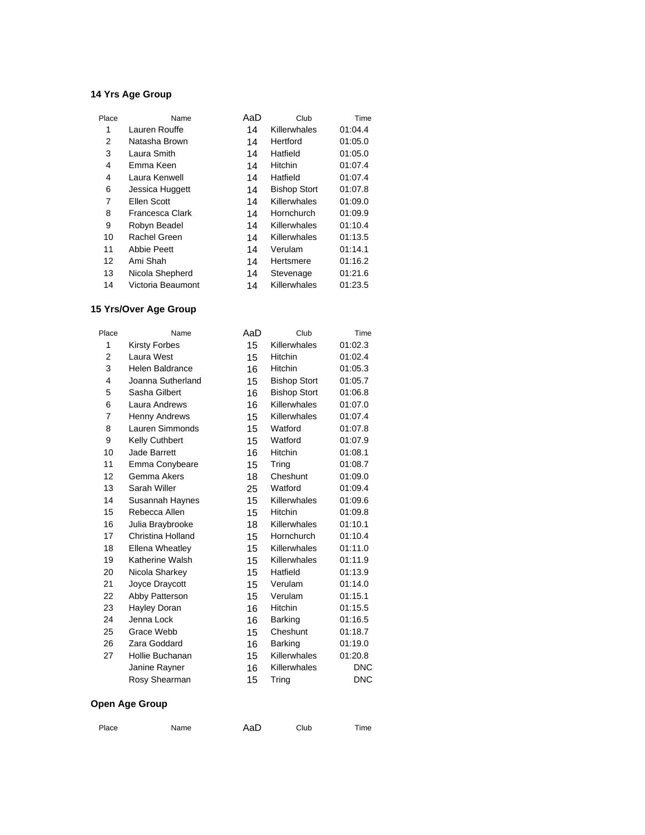| Place | Name               | AaD | Club                | Time    |
|-------|--------------------|-----|---------------------|---------|
| 1     | Lauren Rouffe      | 14  | Killerwhales        | 01:04.4 |
| 2     | Natasha Brown      | 14  | Hertford            | 01:05.0 |
| 3     | Laura Smith        | 14  | Hatfield            | 01:05.0 |
| 4     | Emma Keen          | 14  | Hitchin             | 01:07.4 |
| 4     | Laura Kenwell      | 14  | Hatfield            | 01:07.4 |
| 6     | Jessica Huggett    | 14  | <b>Bishop Stort</b> | 01:07.8 |
| 7     | Ellen Scott        | 14  | Killerwhales        | 01:09.0 |
| 8     | Francesca Clark    | 14  | Hornchurch          | 01:09.9 |
| 9     | Robyn Beadel       | 14  | Killerwhales        | 01:10.4 |
| 10    | Rachel Green       | 14  | Killerwhales        | 01:13.5 |
| 11    | <b>Abbie Peett</b> | 14  | Verulam             | 01:14.1 |
| 12    | Ami Shah           | 14  | Hertsmere           | 01:16.2 |
| 13    | Nicola Shepherd    | 14  | Stevenage           | 01:21.6 |
| 14    | Victoria Beaumont  | 14  | Killerwhales        | 01:23.5 |

## **15 Yrs/Over Age Group**

| Place | Name                   | AaD | Club                | Time       |
|-------|------------------------|-----|---------------------|------------|
| 1     | <b>Kirsty Forbes</b>   | 15  | Killerwhales        | 01:02.3    |
| 2     | Laura West             | 15  | Hitchin             | 01:02.4    |
| 3     | <b>Helen Baldrance</b> | 16  | <b>Hitchin</b>      | 01:05.3    |
| 4     | Joanna Sutherland      | 15  | <b>Bishop Stort</b> | 01:05.7    |
| 5     | Sasha Gilbert          | 16  | <b>Bishop Stort</b> | 01:06.8    |
| 6     | Laura Andrews          | 16  | Killerwhales        | 01:07.0    |
| 7     | <b>Henny Andrews</b>   | 15  | Killerwhales        | 01:07.4    |
| 8     | Lauren Simmonds        | 15  | Watford             | 01:07.8    |
| 9     | <b>Kelly Cuthbert</b>  | 15  | Watford             | 01:07.9    |
| 10    | Jade Barrett           | 16  | <b>Hitchin</b>      | 01:08.1    |
| 11    | Emma Conybeare         | 15  | Tring               | 01:08.7    |
| 12    | Gemma Akers            | 18  | Cheshunt            | 01:09.0    |
| 13    | Sarah Willer           | 25  | Watford             | 01:09.4    |
| 14    | Susannah Haynes        | 15  | Killerwhales        | 01:09.6    |
| 15    | Rebecca Allen          | 15  | Hitchin             | 01:09.8    |
| 16    | Julia Braybrooke       | 18  | Killerwhales        | 01:10.1    |
| 17    | Christina Holland      | 15  | Hornchurch          | 01:10.4    |
| 18    | <b>Ellena Wheatley</b> | 15  | Killerwhales        | 01:11.0    |
| 19    | Katherine Walsh        | 15  | Killerwhales        | 01:11.9    |
| 20    | Nicola Sharkey         | 15  | Hatfield            | 01:13.9    |
| 21    | Joyce Draycott         | 15  | Verulam             | 01:14.0    |
| 22    | Abby Patterson         | 15  | Verulam             | 01:15.1    |
| 23    | Hayley Doran           | 16  | Hitchin             | 01:15.5    |
| 24    | Jenna Lock             | 16  | Barking             | 01:16.5    |
| 25    | Grace Webb             | 15  | Cheshunt            | 01:18.7    |
| 26    | Zara Goddard           | 16  | <b>Barking</b>      | 01:19.0    |
| 27    | Hollie Buchanan        | 15  | Killerwhales        | 01:20.8    |
|       | Janine Rayner          | 16  | Killerwhales        | <b>DNC</b> |
|       | Rosy Shearman          | 15  | Tring               | <b>DNC</b> |

| AaD<br>Club<br>Place<br>Name | Time |
|------------------------------|------|
|------------------------------|------|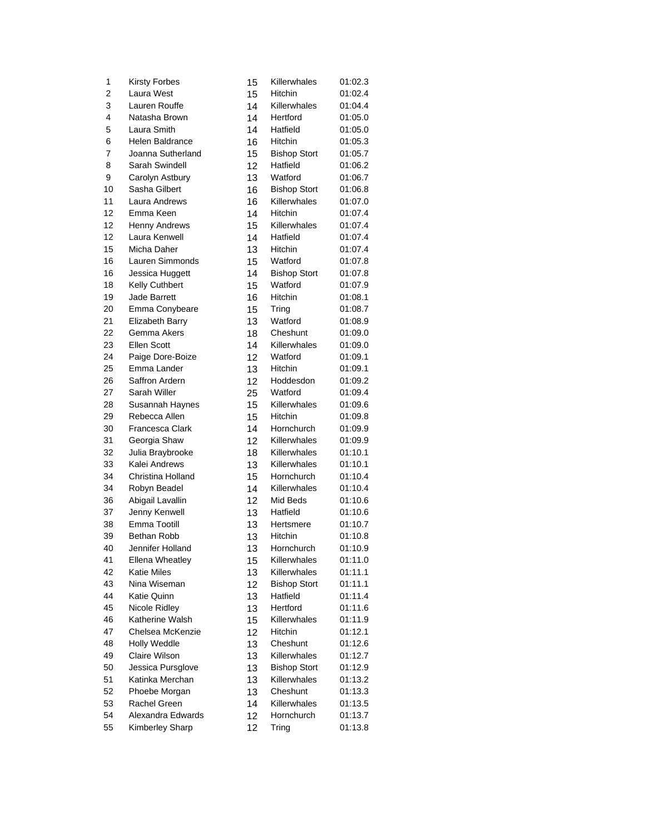| 1  | <b>Kirsty Forbes</b>   | 15       | Killerwhales        | 01:02.3 |
|----|------------------------|----------|---------------------|---------|
| 2  | Laura West             | 15       | Hitchin             | 01:02.4 |
| 3  | Lauren Rouffe          | 14       | Killerwhales        | 01:04.4 |
| 4  | Natasha Brown          | 14       | Hertford            | 01:05.0 |
| 5  | Laura Smith            | 14       | Hatfield            | 01:05.0 |
| 6  | Helen Baldrance        | 16       | Hitchin             | 01:05.3 |
| 7  | Joanna Sutherland      | 15       | <b>Bishop Stort</b> | 01:05.7 |
| 8  | Sarah Swindell         | 12       | Hatfield            | 01:06.2 |
| 9  | Carolyn Astbury        | 13       | Watford             | 01:06.7 |
| 10 | Sasha Gilbert          | 16       | <b>Bishop Stort</b> | 01:06.8 |
| 11 | Laura Andrews          | 16       | Killerwhales        | 01:07.0 |
| 12 | Emma Keen              | 14       | Hitchin             | 01:07.4 |
| 12 | <b>Henny Andrews</b>   | 15       | Killerwhales        | 01:07.4 |
| 12 | Laura Kenwell          | 14       | Hatfield            | 01:07.4 |
| 15 | Micha Daher            | 13       | Hitchin             | 01:07.4 |
| 16 | Lauren Simmonds        | 15       | Watford             | 01:07.8 |
| 16 | Jessica Huggett        | 14       | <b>Bishop Stort</b> | 01:07.8 |
| 18 | Kelly Cuthbert         | 15       | Watford             | 01:07.9 |
| 19 | <b>Jade Barrett</b>    | 16       | Hitchin             | 01:08.1 |
| 20 | Emma Conybeare         | 15       | Tring               | 01:08.7 |
| 21 | Elizabeth Barry        | 13       | Watford             | 01:08.9 |
| 22 | Gemma Akers            | 18       | Cheshunt            | 01:09.0 |
| 23 | <b>Ellen Scott</b>     | 14       | Killerwhales        | 01:09.0 |
| 24 | Paige Dore-Boize       | 12       | Watford             | 01:09.1 |
| 25 | Emma Lander            | 13       | Hitchin             | 01:09.1 |
| 26 | Saffron Ardern         | 12       | Hoddesdon           | 01:09.2 |
| 27 | Sarah Willer           | 25       | Watford             | 01:09.4 |
| 28 | Susannah Haynes        | 15       | Killerwhales        | 01:09.6 |
| 29 | Rebecca Allen          | 15       | <b>Hitchin</b>      | 01:09.8 |
| 30 | Francesca Clark        | 14       | Hornchurch          | 01:09.9 |
| 31 | Georgia Shaw           | 12       | Killerwhales        | 01:09.9 |
| 32 | Julia Braybrooke       | 18       | Killerwhales        | 01:10.1 |
| 33 | Kalei Andrews          | 13       | Killerwhales        | 01:10.1 |
| 34 | Christina Holland      | 15       | Hornchurch          | 01:10.4 |
| 34 | Robyn Beadel           | 14       | Killerwhales        | 01:10.4 |
| 36 | Abigail Lavallin       | 12       | Mid Beds            | 01:10.6 |
| 37 | Jenny Kenwell          | 13       | Hatfield            | 01:10.6 |
| 38 | Emma Tootill           | 13       | Hertsmere           | 01:10.7 |
| 39 | Bethan Robb            | 13       | Hitchin             | 01:10.8 |
| 40 | Jennifer Holland       | 13       | Hornchurch          | 01:10.9 |
| 41 | <b>Ellena Wheatley</b> | 15       | Killerwhales        | 01:11.0 |
| 42 | <b>Katie Miles</b>     | 13       | Killerwhales        | 01:11.1 |
| 43 | Nina Wiseman           | 12       | <b>Bishop Stort</b> | 01:11.1 |
| 44 | <b>Katie Quinn</b>     | 13       | Hatfield            | 01:11.4 |
| 45 | Nicole Ridley          | 13       | Hertford            | 01:11.6 |
| 46 | Katherine Walsh        | 15       | Killerwhales        | 01:11.9 |
| 47 | Chelsea McKenzie       | 12       | <b>Hitchin</b>      | 01:12.1 |
| 48 | Holly Weddle           | 13       | Cheshunt            | 01:12.6 |
| 49 | Claire Wilson          | 13       | Killerwhales        | 01:12.7 |
| 50 | Jessica Pursglove      |          | <b>Bishop Stort</b> | 01:12.9 |
| 51 | Katinka Merchan        | 13       | Killerwhales        | 01:13.2 |
| 52 | Phoebe Morgan          | 13       | Cheshunt            | 01:13.3 |
| 53 | Rachel Green           | 13<br>14 | Killerwhales        | 01:13.5 |
| 54 | Alexandra Edwards      | 12       | Hornchurch          | 01:13.7 |
| 55 | Kimberley Sharp        | 12       |                     | 01:13.8 |
|    |                        |          | Tring               |         |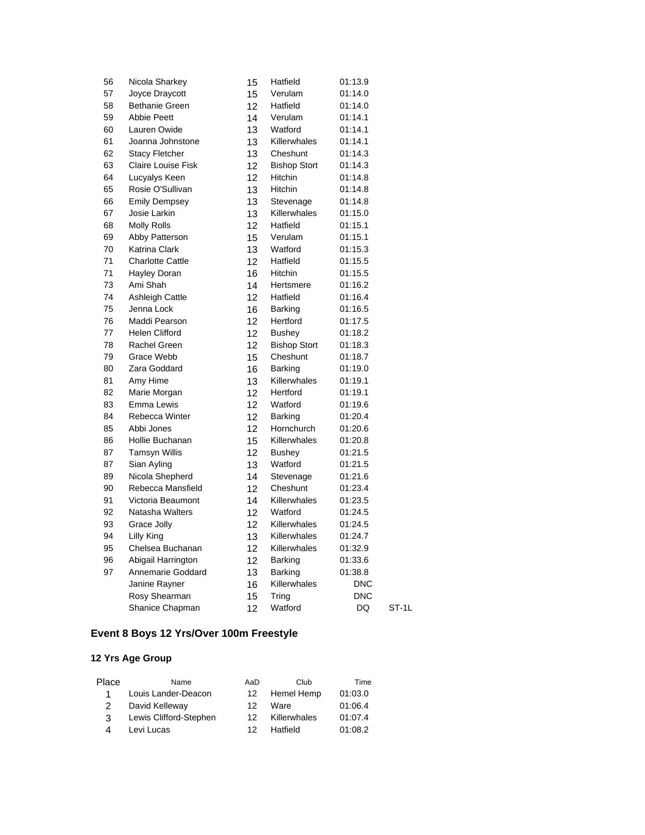| 56 | Nicola Sharkey            | 15 | Hatfield            | 01:13.9    |       |
|----|---------------------------|----|---------------------|------------|-------|
| 57 | Joyce Draycott            | 15 | Verulam             | 01:14.0    |       |
| 58 | <b>Bethanie Green</b>     | 12 | Hatfield            | 01:14.0    |       |
| 59 | <b>Abbie Peett</b>        | 14 | Verulam             | 01:14.1    |       |
| 60 | Lauren Owide              | 13 | Watford             | 01:14.1    |       |
| 61 | Joanna Johnstone          | 13 | Killerwhales        | 01:14.1    |       |
| 62 | <b>Stacy Fletcher</b>     | 13 | Cheshunt            | 01:14.3    |       |
| 63 | <b>Claire Louise Fisk</b> | 12 | <b>Bishop Stort</b> | 01:14.3    |       |
| 64 | Lucyalys Keen             | 12 | <b>Hitchin</b>      | 01:14.8    |       |
| 65 | Rosie O'Sullivan          | 13 | Hitchin             | 01:14.8    |       |
| 66 | <b>Emily Dempsey</b>      | 13 | Stevenage           | 01:14.8    |       |
| 67 | Josie Larkin              | 13 | Killerwhales        | 01:15.0    |       |
| 68 | <b>Molly Rolls</b>        | 12 | Hatfield            | 01:15.1    |       |
| 69 | Abby Patterson            | 15 | Verulam             | 01:15.1    |       |
| 70 | <b>Katrina Clark</b>      | 13 | Watford             | 01:15.3    |       |
| 71 | <b>Charlotte Cattle</b>   | 12 | Hatfield            | 01:15.5    |       |
| 71 | <b>Hayley Doran</b>       | 16 | Hitchin             | 01:15.5    |       |
| 73 | Ami Shah                  | 14 | Hertsmere           | 01:16.2    |       |
| 74 | <b>Ashleigh Cattle</b>    | 12 | Hatfield            | 01:16.4    |       |
| 75 | Jenna Lock                | 16 | Barking             | 01:16.5    |       |
| 76 | Maddi Pearson             | 12 | Hertford            | 01:17.5    |       |
| 77 | <b>Helen Clifford</b>     | 12 | Bushey              | 01:18.2    |       |
| 78 | Rachel Green              | 12 | <b>Bishop Stort</b> | 01:18.3    |       |
| 79 | Grace Webb                | 15 | Cheshunt            | 01:18.7    |       |
| 80 | Zara Goddard              | 16 | Barking             | 01:19.0    |       |
| 81 | Amy Hime                  | 13 | Killerwhales        | 01:19.1    |       |
| 82 | Marie Morgan              | 12 | Hertford            | 01:19.1    |       |
| 83 | Emma Lewis                | 12 | Watford             | 01:19.6    |       |
| 84 | Rebecca Winter            | 12 | Barking             | 01:20.4    |       |
| 85 | Abbi Jones                | 12 | Hornchurch          | 01:20.6    |       |
| 86 | Hollie Buchanan           | 15 | Killerwhales        | 01:20.8    |       |
| 87 | <b>Tamsyn Willis</b>      | 12 | <b>Bushey</b>       | 01:21.5    |       |
| 87 | Sian Ayling               | 13 | Watford             | 01:21.5    |       |
| 89 | Nicola Shepherd           | 14 | Stevenage           | 01:21.6    |       |
| 90 | Rebecca Mansfield         | 12 | Cheshunt            | 01:23.4    |       |
| 91 | Victoria Beaumont         | 14 | Killerwhales        | 01:23.5    |       |
| 92 | Natasha Walters           | 12 | Watford             | 01:24.5    |       |
| 93 | Grace Jolly               | 12 | Killerwhales        | 01:24.5    |       |
| 94 | Lilly King                | 13 | Killerwhales        | 01:24.7    |       |
| 95 | Chelsea Buchanan          | 12 | Killerwhales        | 01:32.9    |       |
| 96 | Abigail Harrington        | 12 | Barking             | 01:33.6    |       |
| 97 | Annemarie Goddard         | 13 | Barking             | 01:38.8    |       |
|    | Janine Rayner             | 16 | Killerwhales        | <b>DNC</b> |       |
|    | Rosy Shearman             | 15 | Tring               | <b>DNC</b> |       |
|    | Shanice Chapman           | 12 | Watford             | DQ         | ST-1L |

# **Event 8 Boys 12 Yrs/Over 100m Freestyle**

| Place | Name                   | AaD | Club         | Time    |
|-------|------------------------|-----|--------------|---------|
| 1     | Louis Lander-Deacon    | 12  | Hemel Hemp   | 01:03.0 |
|       | David Kelleway         | 12  | Ware         | 01:06.4 |
| 3     | Lewis Clifford-Stephen | 12. | Killerwhales | 01:07.4 |
| Δ     | Levi Lucas             | 12. | Hatfield     | 01:08.2 |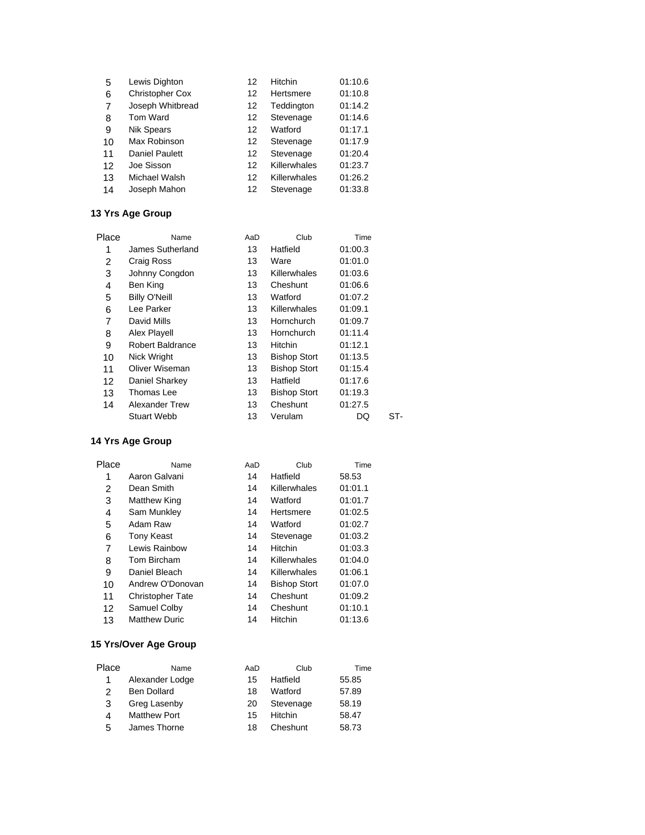| 5  | Lewis Dighton          | 12 | Hitchin      | 01:10.6 |
|----|------------------------|----|--------------|---------|
| 6  | <b>Christopher Cox</b> | 12 | Hertsmere    | 01:10.8 |
| 7  | Joseph Whitbread       | 12 | Teddington   | 01:14.2 |
| 8  | Tom Ward               | 12 | Stevenage    | 01:14.6 |
| 9  | <b>Nik Spears</b>      | 12 | Watford      | 01:17.1 |
| 10 | Max Robinson           | 12 | Stevenage    | 01:17.9 |
| 11 | <b>Daniel Paulett</b>  | 12 | Stevenage    | 01:20.4 |
| 12 | Joe Sisson             | 12 | Killerwhales | 01:23.7 |
| 13 | Michael Walsh          | 12 | Killerwhales | 01:26.2 |
| 14 | Joseph Mahon           | 12 | Stevenage    | 01:33.8 |

| Name                    | AaD | Club                | Time    |     |
|-------------------------|-----|---------------------|---------|-----|
| James Sutherland        | 13  | Hatfield            | 01:00.3 |     |
| Craig Ross              | 13  | Ware                | 01:01.0 |     |
| Johnny Congdon          | 13  | Killerwhales        | 01:03.6 |     |
| Ben King                | 13  | Cheshunt            | 01:06.6 |     |
| <b>Billy O'Neill</b>    | 13  | Watford             | 01:07.2 |     |
| Lee Parker              | 13  | Killerwhales        | 01:09.1 |     |
| David Mills             | 13  | Hornchurch          | 01:09.7 |     |
| Alex Playell            | 13  | Hornchurch          | 01:11.4 |     |
| <b>Robert Baldrance</b> | 13  | Hitchin             | 01:12.1 |     |
| Nick Wright             | 13  | <b>Bishop Stort</b> | 01:13.5 |     |
| Oliver Wiseman          | 13  | <b>Bishop Stort</b> | 01:15.4 |     |
| Daniel Sharkey          | 13  | Hatfield            | 01:17.6 |     |
| Thomas Lee              | 13  | <b>Bishop Stort</b> | 01:19.3 |     |
| <b>Alexander Trew</b>   | 13  | Cheshunt            | 01:27.5 |     |
| <b>Stuart Webb</b>      | 13  | Verulam             | DQ      | ST- |
|                         |     |                     |         |     |

#### **14 Yrs Age Group**

| Place | Name                    | AaD | Club                | Time    |
|-------|-------------------------|-----|---------------------|---------|
| 1     | Aaron Galvani           | 14  | Hatfield            | 58.53   |
| 2     | Dean Smith              | 14  | Killerwhales        | 01:01.1 |
| 3     | <b>Matthew King</b>     | 14  | Watford             | 01:01.7 |
| 4     | Sam Munkley             | 14  | Hertsmere           | 01:02.5 |
| 5     | Adam Raw                | 14  | Watford             | 01:02.7 |
| 6     | Tony Keast              | 14  | Stevenage           | 01:03.2 |
| 7     | Lewis Rainbow           | 14  | Hitchin             | 01:03.3 |
| 8     | Tom Bircham             | 14  | Killerwhales        | 01:04.0 |
| 9     | Daniel Bleach           | 14  | Killerwhales        | 01:06.1 |
| 10    | Andrew O'Donovan        | 14  | <b>Bishop Stort</b> | 01:07.0 |
| 11    | <b>Christopher Tate</b> | 14  | Cheshunt            | 01:09.2 |
| 12    | Samuel Colby            | 14  | Cheshunt            | 01:10.1 |
| 13    | <b>Matthew Duric</b>    | 14  | Hitchin             | 01:13.6 |

#### **15 Yrs/Over Age Group**

| Place | Name                | AaD | Club      | Time  |
|-------|---------------------|-----|-----------|-------|
| 1     | Alexander Lodge     | 15  | Hatfield  | 55.85 |
|       | <b>Ben Dollard</b>  | 18  | Watford   | 57.89 |
| 3     | Greg Lasenby        | 20  | Stevenage | 58.19 |
| 4     | <b>Matthew Port</b> | 15  | Hitchin   | 58.47 |
| 5     | James Thorne        | 18  | Cheshunt  | 58.73 |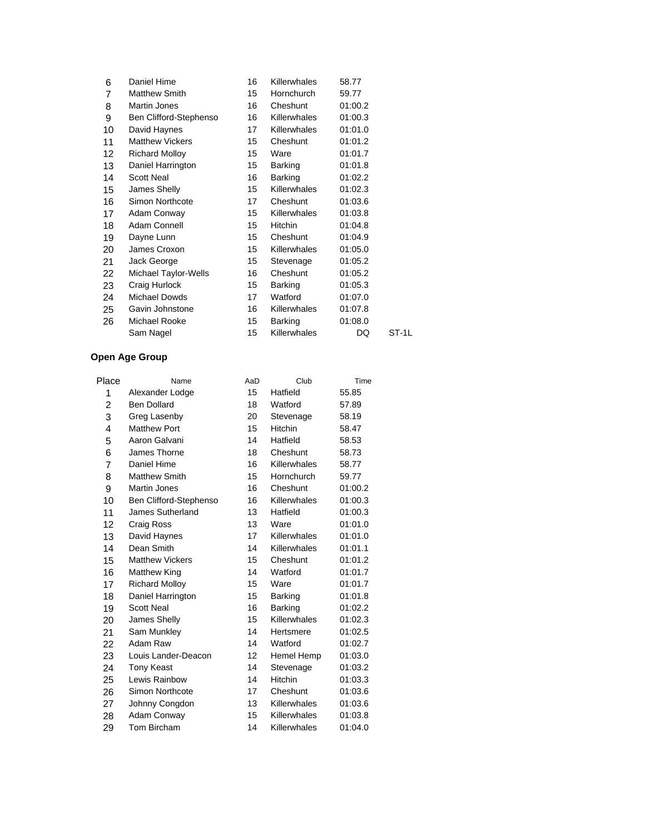| 6  | Daniel Hime            | 16 | Killerwhales        | 58.77   |       |
|----|------------------------|----|---------------------|---------|-------|
| 7  | <b>Matthew Smith</b>   | 15 | Hornchurch          | 59.77   |       |
| 8  | Martin Jones           | 16 | Cheshunt            | 01:00.2 |       |
| 9  | Ben Clifford-Stephenso | 16 | <b>Killerwhales</b> | 01:00.3 |       |
| 10 | David Haynes           | 17 | <b>Killerwhales</b> | 01:01.0 |       |
| 11 | <b>Matthew Vickers</b> | 15 | Cheshunt            | 01:01.2 |       |
| 12 | <b>Richard Molloy</b>  | 15 | Ware                | 01:01.7 |       |
| 13 | Daniel Harrington      | 15 | Barking             | 01:01.8 |       |
| 14 | <b>Scott Neal</b>      | 16 | Barking             | 01:02.2 |       |
| 15 | James Shelly           | 15 | <b>Killerwhales</b> | 01:02.3 |       |
| 16 | Simon Northcote        | 17 | Cheshunt            | 01:03.6 |       |
| 17 | Adam Conway            | 15 | <b>Killerwhales</b> | 01:03.8 |       |
| 18 | Adam Connell           | 15 | <b>Hitchin</b>      | 01:04.8 |       |
| 19 | Dayne Lunn             | 15 | Cheshunt            | 01:04.9 |       |
| 20 | James Croxon           | 15 | <b>Killerwhales</b> | 01:05.0 |       |
| 21 | Jack George            | 15 | Stevenage           | 01:05.2 |       |
| 22 | Michael Taylor-Wells   | 16 | Cheshunt            | 01:05.2 |       |
| 23 | Craig Hurlock          | 15 | Barking             | 01:05.3 |       |
| 24 | Michael Dowds          | 17 | Watford             | 01:07.0 |       |
| 25 | Gavin Johnstone        | 16 | Killerwhales        | 01:07.8 |       |
| 26 | Michael Rooke          | 15 | Barking             | 01:08.0 |       |
|    | Sam Nagel              | 15 | <b>Killerwhales</b> | DQ      | ST-1L |

| Place | Name                   | AaD | Club           | Time    |
|-------|------------------------|-----|----------------|---------|
| 1     | Alexander Lodge        | 15  | Hatfield       | 55.85   |
| 2     | <b>Ben Dollard</b>     | 18  | Watford        | 57.89   |
| 3     | Greg Lasenby           | 20  | Stevenage      | 58.19   |
| 4     | <b>Matthew Port</b>    | 15  | Hitchin        | 58.47   |
| 5     | Aaron Galvani          | 14  | Hatfield       | 58.53   |
| 6     | James Thorne           | 18  | Cheshunt       | 58.73   |
| 7     | Daniel Hime            | 16  | Killerwhales   | 58.77   |
| 8     | <b>Matthew Smith</b>   | 15  | Hornchurch     | 59.77   |
| 9     | Martin Jones           | 16  | Cheshunt       | 01:00.2 |
| 10    | Ben Clifford-Stephenso | 16  | Killerwhales   | 01:00.3 |
| 11    | James Sutherland       | 13  | Hatfield       | 01:00.3 |
| 12    | Craig Ross             | 13  | Ware           | 01:01.0 |
| 13    | David Haynes           | 17  | Killerwhales   | 01:01.0 |
| 14    | Dean Smith             | 14  | Killerwhales   | 01:01.1 |
| 15    | <b>Matthew Vickers</b> | 15  | Cheshunt       | 01:01.2 |
| 16    | <b>Matthew King</b>    | 14  | Watford        | 01:01.7 |
| 17    | <b>Richard Molloy</b>  | 15  | Ware           | 01:01.7 |
| 18    | Daniel Harrington      | 15  | Barking        | 01:01.8 |
| 19    | <b>Scott Neal</b>      | 16  | Barking        | 01:02.2 |
| 20    | James Shelly           | 15  | Killerwhales   | 01:02.3 |
| 21    | Sam Munkley            | 14  | Hertsmere      | 01:02.5 |
| 22    | Adam Raw               | 14  | Watford        | 01:02.7 |
| 23    | Louis Lander-Deacon    | 12  | Hemel Hemp     | 01:03.0 |
| 24    | <b>Tony Keast</b>      | 14  | Stevenage      | 01:03.2 |
| 25    | Lewis Rainbow          | 14  | <b>Hitchin</b> | 01:03.3 |
| 26    | Simon Northcote        | 17  | Cheshunt       | 01:03.6 |
| 27    | Johnny Congdon         | 13  | Killerwhales   | 01:03.6 |
| 28    | Adam Conway            | 15  | Killerwhales   | 01:03.8 |
| 29    | Tom Bircham            | 14  | Killerwhales   | 01:04.0 |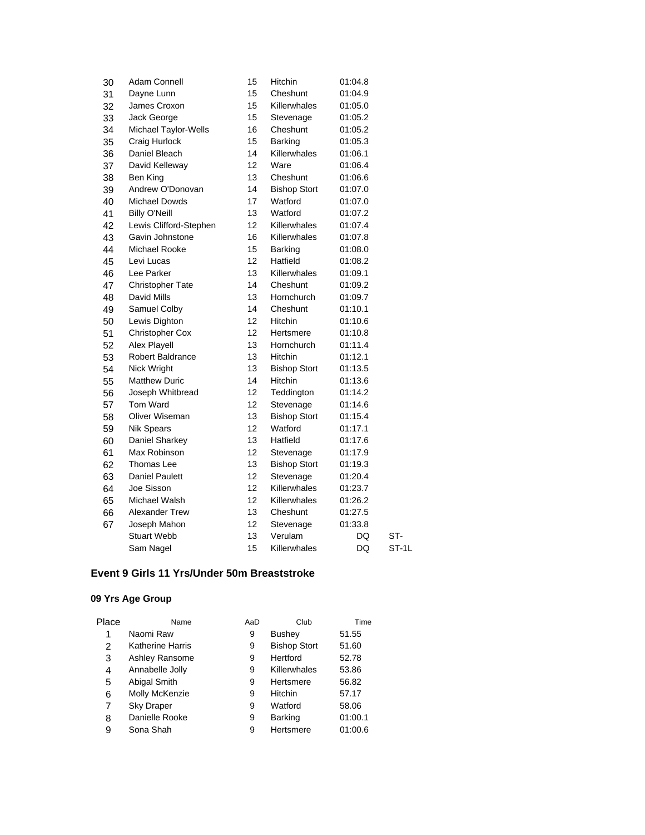| 30 | Adam Connell            | 15 | Hitchin             | 01:04.8   |       |
|----|-------------------------|----|---------------------|-----------|-------|
| 31 | Dayne Lunn              | 15 | Cheshunt            | 01:04.9   |       |
| 32 | James Croxon            | 15 | Killerwhales        | 01:05.0   |       |
| 33 | Jack George             | 15 | Stevenage           | 01:05.2   |       |
| 34 | Michael Taylor-Wells    | 16 | Cheshunt            | 01:05.2   |       |
| 35 | Craig Hurlock           | 15 | Barking             | 01:05.3   |       |
| 36 | Daniel Bleach           | 14 | Killerwhales        | 01:06.1   |       |
| 37 | David Kelleway          | 12 | Ware                | 01:06.4   |       |
| 38 | Ben King                | 13 | Cheshunt            | 01:06.6   |       |
| 39 | Andrew O'Donovan        | 14 | <b>Bishop Stort</b> | 01:07.0   |       |
| 40 | <b>Michael Dowds</b>    | 17 | Watford             | 01:07.0   |       |
| 41 | <b>Billy O'Neill</b>    | 13 | Watford             | 01:07.2   |       |
| 42 | Lewis Clifford-Stephen  | 12 | Killerwhales        | 01:07.4   |       |
| 43 | Gavin Johnstone         | 16 | Killerwhales        | 01:07.8   |       |
| 44 | Michael Rooke           | 15 | Barking             | 01:08.0   |       |
| 45 | Levi Lucas              | 12 | Hatfield            | 01:08.2   |       |
| 46 | Lee Parker              | 13 | Killerwhales        | 01:09.1   |       |
| 47 | Christopher Tate        | 14 | Cheshunt            | 01:09.2   |       |
| 48 | David Mills             | 13 | Hornchurch          | 01:09.7   |       |
| 49 | Samuel Colby            | 14 | Cheshunt            | 01:10.1   |       |
| 50 | Lewis Dighton           | 12 | Hitchin             | 01:10.6   |       |
| 51 | <b>Christopher Cox</b>  | 12 | Hertsmere           | 01:10.8   |       |
| 52 | <b>Alex Playell</b>     | 13 | Hornchurch          | 01:11.4   |       |
| 53 | <b>Robert Baldrance</b> | 13 | Hitchin             | 01:12.1   |       |
| 54 | Nick Wright             | 13 | <b>Bishop Stort</b> | 01:13.5   |       |
| 55 | <b>Matthew Duric</b>    | 14 | Hitchin             | 01:13.6   |       |
| 56 | Joseph Whitbread        | 12 | Teddington          | 01:14.2   |       |
| 57 | Tom Ward                | 12 | Stevenage           | 01:14.6   |       |
| 58 | Oliver Wiseman          | 13 | <b>Bishop Stort</b> | 01:15.4   |       |
| 59 | <b>Nik Spears</b>       | 12 | Watford             | 01:17.1   |       |
| 60 | Daniel Sharkey          | 13 | Hatfield            | 01:17.6   |       |
| 61 | Max Robinson            | 12 | Stevenage           | 01:17.9   |       |
| 62 | Thomas Lee              | 13 | <b>Bishop Stort</b> | 01:19.3   |       |
| 63 | <b>Daniel Paulett</b>   | 12 | Stevenage           | 01:20.4   |       |
| 64 | Joe Sisson              | 12 | Killerwhales        | 01:23.7   |       |
| 65 | Michael Walsh           | 12 | Killerwhales        | 01:26.2   |       |
| 66 | Alexander Trew          | 13 | Cheshunt            | 01:27.5   |       |
| 67 | Joseph Mahon            | 12 | Stevenage           | 01:33.8   |       |
|    | <b>Stuart Webb</b>      | 13 | Verulam             | DQ        | ST-   |
|    | Sam Nagel               | 15 | Killerwhales        | <b>DQ</b> | ST-1L |
|    |                         |    |                     |           |       |

# **Event 9 Girls 11 Yrs/Under 50m Breaststroke**

| Place | Name                    | AaD | Club                | Time    |
|-------|-------------------------|-----|---------------------|---------|
| 1     | Naomi Raw               | 9   | Bushey              | 51.55   |
| 2     | <b>Katherine Harris</b> | 9   | <b>Bishop Stort</b> | 51.60   |
| 3     | Ashley Ransome          | 9   | Hertford            | 52.78   |
| 4     | Annabelle Jolly         | 9   | Killerwhales        | 53.86   |
| 5     | Abigal Smith            | 9   | Hertsmere           | 56.82   |
| 6     | Molly McKenzie          | 9   | Hitchin             | 57.17   |
| 7     | <b>Sky Draper</b>       | 9   | Watford             | 58.06   |
| 8     | Danielle Rooke          | 9   | <b>Barking</b>      | 01:00.1 |
| 9     | Sona Shah               | 9   | Hertsmere           | 01:00.6 |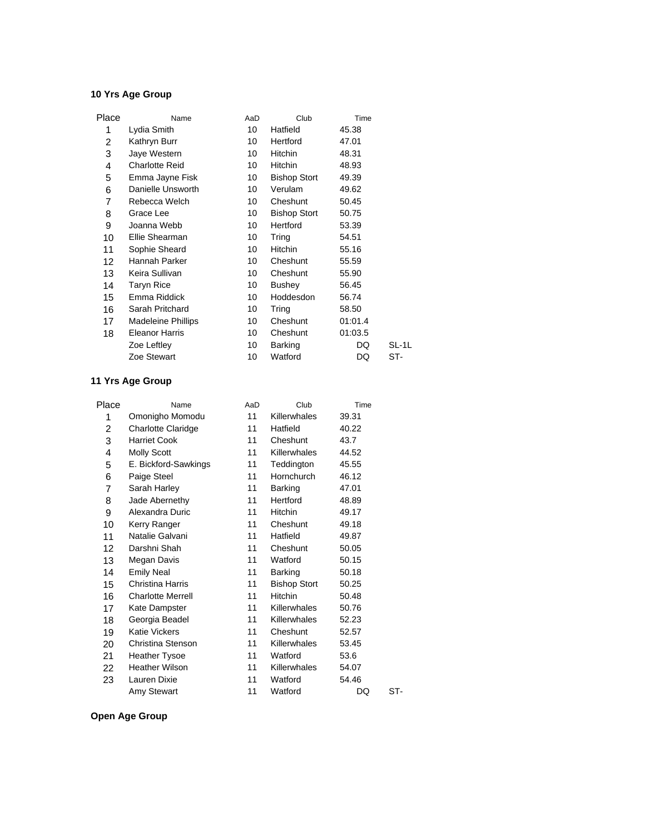| Place | Name                      | AaD | Club                | Time    |       |
|-------|---------------------------|-----|---------------------|---------|-------|
| 1     | Lydia Smith               | 10  | Hatfield            | 45.38   |       |
| 2     | Kathryn Burr              | 10  | Hertford            | 47.01   |       |
| 3     | Jaye Western              | 10  | Hitchin             | 48.31   |       |
| 4     | Charlotte Reid            | 10  | Hitchin             | 48.93   |       |
| 5     | Emma Jayne Fisk           | 10  | <b>Bishop Stort</b> | 49.39   |       |
| 6     | Danielle Unsworth         | 10  | Verulam             | 49.62   |       |
| 7     | Rebecca Welch             | 10  | Cheshunt            | 50.45   |       |
| 8     | Grace Lee                 | 10  | <b>Bishop Stort</b> | 50.75   |       |
| 9     | Joanna Webb               | 10  | Hertford            | 53.39   |       |
| 10    | Ellie Shearman            | 10  | Tring               | 54.51   |       |
| 11    | Sophie Sheard             | 10  | <b>Hitchin</b>      | 55.16   |       |
| 12    | Hannah Parker             | 10  | Cheshunt            | 55.59   |       |
| 13    | Keira Sullivan            | 10  | Cheshunt            | 55.90   |       |
| 14    | <b>Taryn Rice</b>         | 10  | <b>Bushey</b>       | 56.45   |       |
| 15    | Emma Riddick              | 10  | Hoddesdon           | 56.74   |       |
| 16    | Sarah Pritchard           | 10  | Tring               | 58.50   |       |
| 17    | <b>Madeleine Phillips</b> | 10  | Cheshunt            | 01:01.4 |       |
| 18    | Eleanor Harris            | 10  | Cheshunt            | 01:03.5 |       |
|       | Zoe Leftley               | 10  | Barking             | DQ      | SL-1L |
|       | Zoe Stewart               | 10  | Watford             | DQ      | ST-   |
|       |                           |     |                     |         |       |

## **11 Yrs Age Group**

| Place           | Name                      | AaD | Club                | Time  |     |
|-----------------|---------------------------|-----|---------------------|-------|-----|
| 1               | Omonigho Momodu           | 11  | Killerwhales        | 39.31 |     |
| 2               | <b>Charlotte Claridge</b> | 11  | Hatfield            | 40.22 |     |
| 3               | <b>Harriet Cook</b>       | 11  | Cheshunt            | 43.7  |     |
| 4               | Molly Scott               | 11  | Killerwhales        | 44.52 |     |
| 5               | E. Bickford-Sawkings      | 11  | Teddington          | 45.55 |     |
| 6               | Paige Steel               | 11  | Hornchurch          | 46.12 |     |
| $\overline{7}$  | Sarah Harley              | 11  | Barking             | 47.01 |     |
| 8               | Jade Abernethy            | 11  | Hertford            | 48.89 |     |
| 9               | Alexandra Duric           | 11  | <b>Hitchin</b>      | 49.17 |     |
| 10              | Kerry Ranger              | 11  | Cheshunt            | 49.18 |     |
| 11              | Natalie Galvani           | 11  | Hatfield            | 49.87 |     |
| 12 <sup>2</sup> | Darshni Shah              | 11  | Cheshunt            | 50.05 |     |
| 13              | Megan Davis               | 11  | Watford             | 50.15 |     |
| 14              | <b>Emily Neal</b>         | 11  | <b>Barking</b>      | 50.18 |     |
| 15              | Christina Harris          | 11  | <b>Bishop Stort</b> | 50.25 |     |
| 16              | <b>Charlotte Merrell</b>  | 11  | <b>Hitchin</b>      | 50.48 |     |
| 17              | Kate Dampster             | 11  | Killerwhales        | 50.76 |     |
| 18              | Georgia Beadel            | 11  | Killerwhales        | 52.23 |     |
| 19              | <b>Katie Vickers</b>      | 11  | Cheshunt            | 52.57 |     |
| 20              | Christina Stenson         | 11  | Killerwhales        | 53.45 |     |
| 21              | <b>Heather Tysoe</b>      | 11  | Watford             | 53.6  |     |
| 22              | <b>Heather Wilson</b>     | 11  | Killerwhales        | 54.07 |     |
| 23              | Lauren Dixie              | 11  | Watford             | 54.46 |     |
|                 | Amy Stewart               | 11  | Watford             | DQ    | ST- |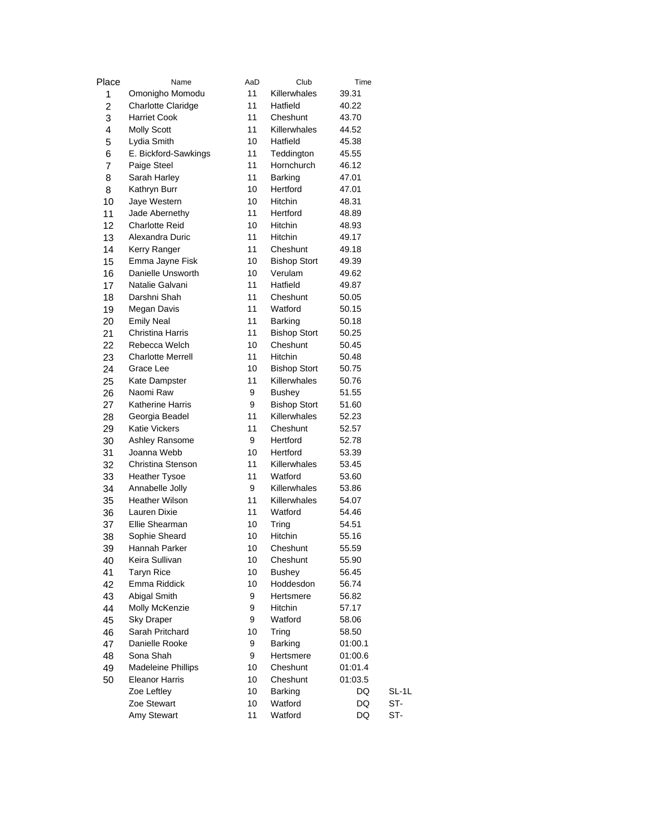| Place          | Name                      | AaD | Club                | Time    |         |
|----------------|---------------------------|-----|---------------------|---------|---------|
| 1              | Omonigho Momodu           | 11  | Killerwhales        | 39.31   |         |
| $\overline{c}$ | <b>Charlotte Claridge</b> | 11  | Hatfield            | 40.22   |         |
| 3              | <b>Harriet Cook</b>       | 11  | Cheshunt            | 43.70   |         |
| 4              | <b>Molly Scott</b>        | 11  | Killerwhales        | 44.52   |         |
| 5              | Lydia Smith               | 10  | Hatfield            | 45.38   |         |
| 6              | E. Bickford-Sawkings      | 11  | Teddington          | 45.55   |         |
| 7              | Paige Steel               | 11  | Hornchurch          | 46.12   |         |
| 8              | Sarah Harley              | 11  | Barking             | 47.01   |         |
| 8              | Kathryn Burr              | 10  | Hertford            | 47.01   |         |
| 10             | Jaye Western              | 10  | Hitchin             | 48.31   |         |
| 11             | Jade Abernethy            | 11  | Hertford            | 48.89   |         |
| 12             | <b>Charlotte Reid</b>     | 10  | <b>Hitchin</b>      | 48.93   |         |
| 13             | Alexandra Duric           | 11  | Hitchin             | 49.17   |         |
| 14             | Kerry Ranger              | 11  | Cheshunt            | 49.18   |         |
| 15             | Emma Jayne Fisk           | 10  | <b>Bishop Stort</b> | 49.39   |         |
| 16             | Danielle Unsworth         | 10  | Verulam             | 49.62   |         |
| 17             | Natalie Galvani           | 11  | Hatfield            | 49.87   |         |
| 18             | Darshni Shah              | 11  | Cheshunt            | 50.05   |         |
| 19             | Megan Davis               | 11  | Watford             | 50.15   |         |
| 20             | <b>Emily Neal</b>         | 11  | Barking             | 50.18   |         |
| 21             | <b>Christina Harris</b>   | 11  | <b>Bishop Stort</b> | 50.25   |         |
| 22             | Rebecca Welch             | 10  | Cheshunt            | 50.45   |         |
| 23             | <b>Charlotte Merrell</b>  | 11  | Hitchin             | 50.48   |         |
| 24             | Grace Lee                 | 10  | <b>Bishop Stort</b> | 50.75   |         |
| 25             | Kate Dampster             | 11  | Killerwhales        | 50.76   |         |
| 26             | Naomi Raw                 | 9   | <b>Bushey</b>       | 51.55   |         |
| 27             | <b>Katherine Harris</b>   | 9   | <b>Bishop Stort</b> | 51.60   |         |
| 28             | Georgia Beadel            | 11  | Killerwhales        | 52.23   |         |
| 29             | <b>Katie Vickers</b>      | 11  | Cheshunt            | 52.57   |         |
| 30             | Ashley Ransome            | 9   | Hertford            | 52.78   |         |
| 31             | Joanna Webb               | 10  | Hertford            | 53.39   |         |
| 32             | Christina Stenson         | 11  | Killerwhales        | 53.45   |         |
| 33             | <b>Heather Tysoe</b>      | 11  | Watford             | 53.60   |         |
| 34             | Annabelle Jolly           | 9   | Killerwhales        | 53.86   |         |
| 35             | <b>Heather Wilson</b>     | 11  | Killerwhales        | 54.07   |         |
| 36             | Lauren Dixie              | 11  | Watford             | 54.46   |         |
| 37             | Ellie Shearman            | 10  | Tring               | 54.51   |         |
| 38             | Sophie Sheard             | 10  | Hitchin             | 55.16   |         |
| 39             | Hannah Parker             | 10  | Cheshunt            | 55.59   |         |
| 40             | Keira Sullivan            | 10  | Cheshunt            | 55.90   |         |
| 41             | <b>Taryn Rice</b>         | 10  | <b>Bushey</b>       | 56.45   |         |
| 42             | Emma Riddick              | 10  | Hoddesdon           | 56.74   |         |
| 43             | Abigal Smith              | 9   | Hertsmere           | 56.82   |         |
| 44             | Molly McKenzie            | 9   | Hitchin             | 57.17   |         |
| 45             | <b>Sky Draper</b>         | 9   | Watford             | 58.06   |         |
| 46             | Sarah Pritchard           | 10  | Tring               | 58.50   |         |
| 47             | Danielle Rooke            | 9   | Barking             | 01:00.1 |         |
| 48             | Sona Shah                 | 9   | Hertsmere           | 01:00.6 |         |
| 49             | <b>Madeleine Phillips</b> | 10  | Cheshunt            | 01:01.4 |         |
| 50             | <b>Eleanor Harris</b>     | 10  | Cheshunt            | 01:03.5 |         |
|                | Zoe Leftley               | 10  | Barking             | DQ      | $SL-1L$ |
|                | Zoe Stewart               | 10  | Watford             | DQ      | ST-     |
|                | Amy Stewart               | 11  | Watford             | DQ      | ST-     |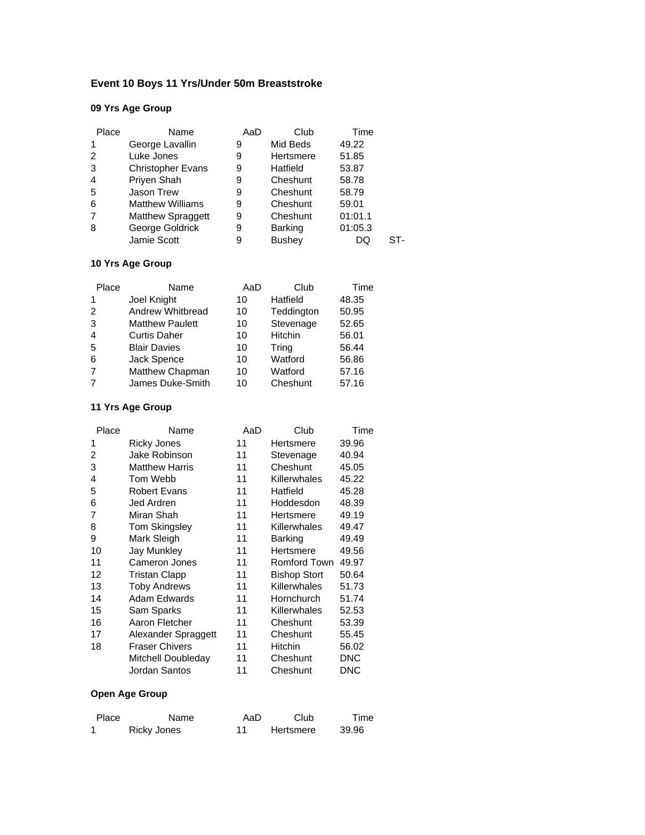# **Event 10 Boys 11 Yrs/Under 50m Breaststroke**

# **09 Yrs Age Group**

| Place        | Name                     | AaD | Club           | Time    |  |
|--------------|--------------------------|-----|----------------|---------|--|
| $\mathbf{1}$ | George Lavallin          | 9   | Mid Beds       | 49.22   |  |
| 2            | Luke Jones               | 9   | Hertsmere      | 51.85   |  |
| 3            | <b>Christopher Evans</b> | 9   | Hatfield       | 53.87   |  |
| 4            | Priyen Shah              | 9   | Cheshunt       | 58.78   |  |
| 5            | Jason Trew               | 9   | Cheshunt       | 58.79   |  |
| 6            | <b>Matthew Williams</b>  | 9   | Cheshunt       | 59.01   |  |
| 7            | <b>Matthew Spraggett</b> | 9   | Cheshunt       | 01:01.1 |  |
| 8            | George Goldrick          | 9   | <b>Barking</b> | 01:05.3 |  |
|              | Jamie Scott              | 9   | <b>Bushey</b>  | DQ      |  |

# **10 Yrs Age Group**

| Place          | Name                   | AaD | Club       | Time  |
|----------------|------------------------|-----|------------|-------|
| 1              | Joel Knight            | 10  | Hatfield   | 48.35 |
| 2              | Andrew Whitbread       | 10  | Teddington | 50.95 |
| 3              | <b>Matthew Paulett</b> | 10  | Stevenage  | 52.65 |
| $\overline{4}$ | <b>Curtis Daher</b>    | 10  | Hitchin    | 56.01 |
| 5              | <b>Blair Davies</b>    | 10  | Tring      | 56.44 |
| 6              | Jack Spence            | 10  | Watford    | 56.86 |
| 7              | Matthew Chapman        | 10  | Watford    | 57.16 |
| $\overline{7}$ | James Duke-Smith       | 10  | Cheshunt   | 57.16 |

#### **11 Yrs Age Group**

| Name                  | AaD | Club                | Time  |
|-----------------------|-----|---------------------|-------|
| Ricky Jones           | 11  | Hertsmere           | 39.96 |
| Jake Robinson         | 11  | Stevenage           | 40.94 |
| <b>Matthew Harris</b> | 11  | Cheshunt            | 45.05 |
| Tom Webb              | 11  | Killerwhales        | 45.22 |
| <b>Robert Evans</b>   | 11  | Hatfield            | 45.28 |
| Jed Ardren            | 11  | Hoddesdon           | 48.39 |
| Miran Shah            | 11  | Hertsmere           | 49.19 |
| <b>Tom Skingsley</b>  | 11  | Killerwhales        | 49.47 |
| Mark Sleigh           | 11  | <b>Barking</b>      | 49.49 |
| Jay Munkley           | 11  | Hertsmere           | 49.56 |
| Cameron Jones         | 11  | <b>Romford Town</b> | 49.97 |
| Tristan Clapp         | 11  | <b>Bishop Stort</b> | 50.64 |
| <b>Toby Andrews</b>   | 11  | Killerwhales        | 51.73 |
| Adam Edwards          | 11  | Hornchurch          | 51.74 |
| Sam Sparks            | 11  | Killerwhales        | 52.53 |
| Aaron Fletcher        | 11  | Cheshunt            | 53.39 |
| Alexander Spraggett   | 11  | Cheshunt            | 55.45 |
| <b>Fraser Chivers</b> | 11  | <b>Hitchin</b>      | 56.02 |
| Mitchell Doubleday    | 11  | Cheshunt            | DNC   |
| Jordan Santos         | 11  | Cheshunt            | DNC   |
|                       |     |                     |       |

| Place | Name        | AaD | Club      | Time  |
|-------|-------------|-----|-----------|-------|
|       | Ricky Jones |     | Hertsmere | 39.96 |